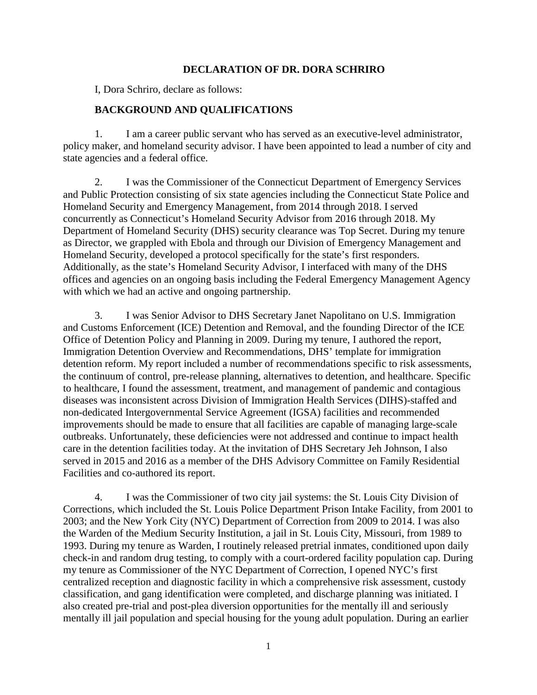## **DECLARATION OF DR. DORA SCHRIRO**

I, Dora Schriro, declare as follows:

## **BACKGROUND AND QUALIFICATIONS**

1. I am a career public servant who has served as an executive-level administrator, policy maker, and homeland security advisor. I have been appointed to lead a number of city and state agencies and a federal office.

2. I was the Commissioner of the Connecticut Department of Emergency Services and Public Protection consisting of six state agencies including the Connecticut State Police and Homeland Security and Emergency Management, from 2014 through 2018. I served concurrently as Connecticut's Homeland Security Advisor from 2016 through 2018. My Department of Homeland Security (DHS) security clearance was Top Secret. During my tenure as Director, we grappled with Ebola and through our Division of Emergency Management and Homeland Security, developed a protocol specifically for the state's first responders. Additionally, as the state's Homeland Security Advisor, I interfaced with many of the DHS offices and agencies on an ongoing basis including the Federal Emergency Management Agency with which we had an active and ongoing partnership.

3. I was Senior Advisor to DHS Secretary Janet Napolitano on U.S. Immigration and Customs Enforcement (ICE) Detention and Removal, and the founding Director of the ICE Office of Detention Policy and Planning in 2009. During my tenure, I authored the report, Immigration Detention Overview and Recommendations, DHS' template for immigration detention reform. My report included a number of recommendations specific to risk assessments, the continuum of control, pre-release planning, alternatives to detention, and healthcare. Specific to healthcare, I found the assessment, treatment, and management of pandemic and contagious diseases was inconsistent across Division of Immigration Health Services (DIHS)-staffed and non-dedicated Intergovernmental Service Agreement (IGSA) facilities and recommended improvements should be made to ensure that all facilities are capable of managing large-scale outbreaks. Unfortunately, these deficiencies were not addressed and continue to impact health care in the detention facilities today. At the invitation of DHS Secretary Jeh Johnson, I also served in 2015 and 2016 as a member of the DHS Advisory Committee on Family Residential Facilities and co-authored its report.

4. I was the Commissioner of two city jail systems: the St. Louis City Division of Corrections, which included the St. Louis Police Department Prison Intake Facility, from 2001 to 2003; and the New York City (NYC) Department of Correction from 2009 to 2014. I was also the Warden of the Medium Security Institution, a jail in St. Louis City, Missouri, from 1989 to 1993. During my tenure as Warden, I routinely released pretrial inmates, conditioned upon daily check-in and random drug testing, to comply with a court-ordered facility population cap. During my tenure as Commissioner of the NYC Department of Correction, I opened NYC's first centralized reception and diagnostic facility in which a comprehensive risk assessment, custody classification, and gang identification were completed, and discharge planning was initiated. I also created pre-trial and post-plea diversion opportunities for the mentally ill and seriously mentally ill jail population and special housing for the young adult population. During an earlier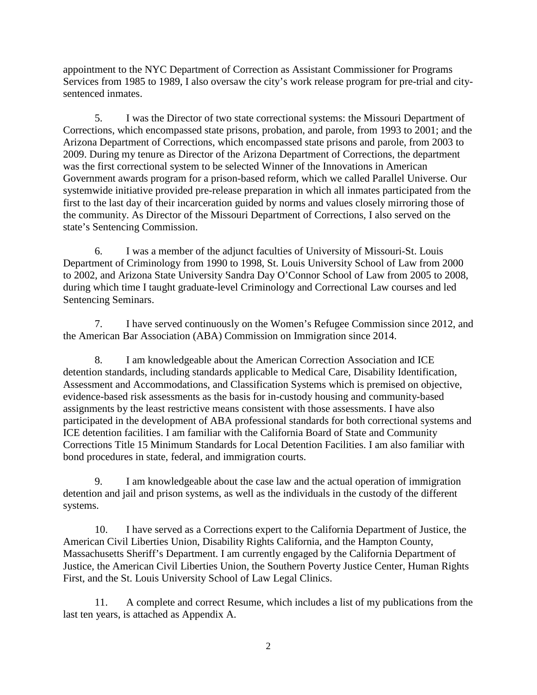appointment to the NYC Department of Correction as Assistant Commissioner for Programs Services from 1985 to 1989, I also oversaw the city's work release program for pre-trial and citysentenced inmates.

5. I was the Director of two state correctional systems: the Missouri Department of Corrections, which encompassed state prisons, probation, and parole, from 1993 to 2001; and the Arizona Department of Corrections, which encompassed state prisons and parole, from 2003 to 2009. During my tenure as Director of the Arizona Department of Corrections, the department was the first correctional system to be selected Winner of the Innovations in American Government awards program for a prison-based reform, which we called Parallel Universe. Our systemwide initiative provided pre-release preparation in which all inmates participated from the first to the last day of their incarceration guided by norms and values closely mirroring those of the community. As Director of the Missouri Department of Corrections, I also served on the state's Sentencing Commission.

6. I was a member of the adjunct faculties of University of Missouri-St. Louis Department of Criminology from 1990 to 1998, St. Louis University School of Law from 2000 to 2002, and Arizona State University Sandra Day O'Connor School of Law from 2005 to 2008, during which time I taught graduate-level Criminology and Correctional Law courses and led Sentencing Seminars.

7. I have served continuously on the Women's Refugee Commission since 2012, and the American Bar Association (ABA) Commission on Immigration since 2014.

8. I am knowledgeable about the American Correction Association and ICE detention standards, including standards applicable to Medical Care, Disability Identification, Assessment and Accommodations, and Classification Systems which is premised on objective, evidence-based risk assessments as the basis for in-custody housing and community-based assignments by the least restrictive means consistent with those assessments. I have also participated in the development of ABA professional standards for both correctional systems and ICE detention facilities. I am familiar with the California Board of State and Community Corrections Title 15 Minimum Standards for Local Detention Facilities. I am also familiar with bond procedures in state, federal, and immigration courts.

9. I am knowledgeable about the case law and the actual operation of immigration detention and jail and prison systems, as well as the individuals in the custody of the different systems.

10. I have served as a Corrections expert to the California Department of Justice, the American Civil Liberties Union, Disability Rights California, and the Hampton County, Massachusetts Sheriff's Department. I am currently engaged by the California Department of Justice, the American Civil Liberties Union, the Southern Poverty Justice Center, Human Rights First, and the St. Louis University School of Law Legal Clinics.

11. A complete and correct Resume, which includes a list of my publications from the last ten years, is attached as Appendix A.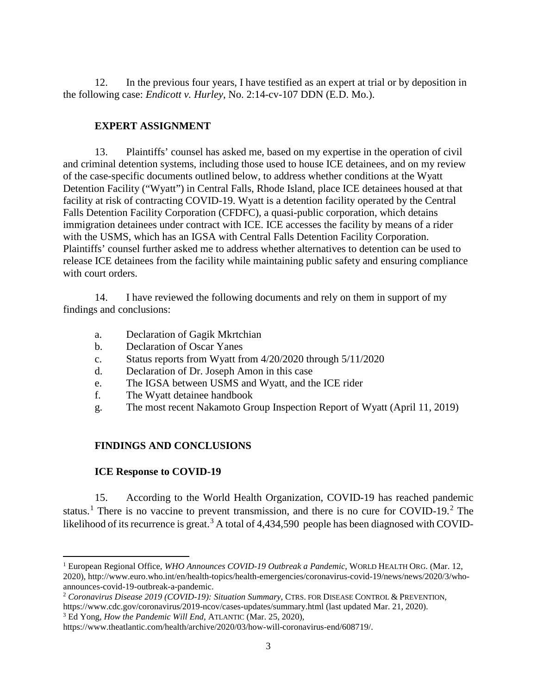12. In the previous four years, I have testified as an expert at trial or by deposition in the following case: *Endicott v. Hurley*, No. 2:14-cv-107 DDN (E.D. Mo.).

## **EXPERT ASSIGNMENT**

13. Plaintiffs' counsel has asked me, based on my expertise in the operation of civil and criminal detention systems, including those used to house ICE detainees, and on my review of the case-specific documents outlined below, to address whether conditions at the Wyatt Detention Facility ("Wyatt") in Central Falls, Rhode Island, place ICE detainees housed at that facility at risk of contracting COVID-19. Wyatt is a detention facility operated by the Central Falls Detention Facility Corporation (CFDFC), a quasi-public corporation, which detains immigration detainees under contract with ICE. ICE accesses the facility by means of a rider with the USMS, which has an IGSA with Central Falls Detention Facility Corporation. Plaintiffs' counsel further asked me to address whether alternatives to detention can be used to release ICE detainees from the facility while maintaining public safety and ensuring compliance with court orders.

14. I have reviewed the following documents and rely on them in support of my findings and conclusions:

- a. Declaration of Gagik Mkrtchian
- b. Declaration of Oscar Yanes
- c. Status reports from Wyatt from 4/20/2020 through 5/11/2020
- d. Declaration of Dr. Joseph Amon in this case
- e. The IGSA between USMS and Wyatt, and the ICE rider
- f. The Wyatt detainee handbook
- g. The most recent Nakamoto Group Inspection Report of Wyatt (April 11, 2019)

# **FINDINGS AND CONCLUSIONS**

## **ICE Response to COVID-19**

l

15. According to the World Health Organization, COVID-19 has reached pandemic status.<sup>[1](#page-2-0)</sup> There is no vaccine to prevent transmission, and there is no cure for COVID-19.<sup>[2](#page-2-1)</sup> The likelihood of its recurrence is great.<sup>[3](#page-2-2)</sup> A total of  $4,434,590$  people has been diagnosed with COVID-

<span id="page-2-0"></span><sup>1</sup> European Regional Office, *WHO Announces COVID-19 Outbreak a Pandemic*, WORLD HEALTH ORG. (Mar. 12, 2020), http://www.euro.who.int/en/health-topics/health-emergencies/coronavirus-covid-19/news/news/2020/3/whoannounces-covid-19-outbreak-a-pandemic.

<span id="page-2-1"></span><sup>2</sup> *Coronavirus Disease 2019 (COVID-19): Situation Summary*, CTRS. FOR DISEASE CONTROL & PREVENTION, https://www.cdc.gov/coronavirus/2019-ncov/cases-updates/summary.html (last updated Mar. 21, 2020).

<span id="page-2-2"></span><sup>3</sup> Ed Yong, *How the Pandemic Will End*, ATLANTIC (Mar. 25, 2020),

https://www.theatlantic.com/health/archive/2020/03/how-will-coronavirus-end/608719/.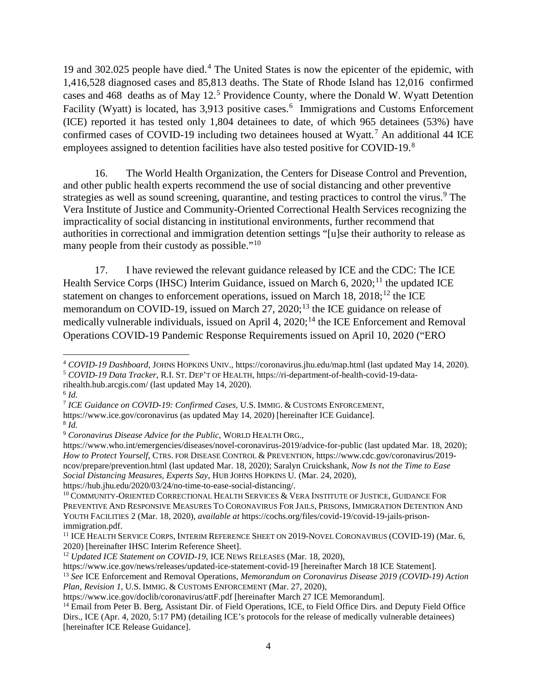19 and 302.025 people have died.[4](#page-3-0) The United States is now the epicenter of the epidemic, with 1,416,528 diagnosed cases and 85,813 deaths. The State of Rhode Island has 12,016 confirmed cases and 468 deaths as of May 12. [5](#page-3-1) Providence County, where the Donald W. Wyatt Detention Facility (Wyatt) is located, has 3,913 positive cases.<sup>[6](#page-3-2)</sup> Immigrations and Customs Enforcement (ICE) reported it has tested only 1,804 detainees to date, of which 965 detainees (53%) have confirmed cases of COVID-19 including two detainees housed at Wyatt.<sup>[7](#page-3-3)</sup> An additional 44 ICE employees assigned to detention facilities have also tested positive for COVID-19.<sup>[8](#page-3-4)</sup>

16. The World Health Organization, the Centers for Disease Control and Prevention, and other public health experts recommend the use of social distancing and other preventive strategies as well as sound screening, quarantine, and testing practices to control the virus.<sup>[9](#page-3-5)</sup> The Vera Institute of Justice and Community-Oriented Correctional Health Services recognizing the impracticality of social distancing in institutional environments, further recommend that authorities in correctional and immigration detention settings "[u]se their authority to release as many people from their custody as possible."<sup>[10](#page-3-6)</sup>

17. I have reviewed the relevant guidance released by ICE and the CDC: The ICE Health Service Corps (IHSC) Interim Guidance, issued on March  $6, 2020$ ;<sup>[11](#page-3-7)</sup> the updated ICE statement on changes to enforcement operations, issued on March 18,  $2018$ ;<sup>[12](#page-3-8)</sup> the ICE memorandum on COVID-19, issued on March  $27$ ,  $2020$ ;<sup>[13](#page-3-9)</sup> the ICE guidance on release of medically vulnerable individuals, issued on April 4,  $2020$ ;<sup>[14](#page-3-10)</sup> the ICE Enforcement and Removal Operations COVID-19 Pandemic Response Requirements issued on April 10, 2020 ("ERO

l

<span id="page-3-3"></span><sup>7</sup> *ICE Guidance on COVID-19: Confirmed Cases*, U.S. IMMIG. & CUSTOMS ENFORCEMENT,

<span id="page-3-0"></span><sup>4</sup> *COVID-19 Dashboard*, JOHNS HOPKINS UNIV., https://coronavirus.jhu.edu/map.html (last updated May 14, 2020). <sup>5</sup> *COVID-19 Data Tracker*, R.I. ST. DEP'T OF HEALTH, https://ri-department-of-health-covid-19-data-

<span id="page-3-1"></span>rihealth.hub.arcgis.com/ (last updated May 14, 2020).

<span id="page-3-2"></span> $6$  *Id.* 

https://www.ice.gov/coronavirus (as updated May 14, 2020) [hereinafter ICE Guidance].

<span id="page-3-4"></span><sup>8</sup> *Id.*

<span id="page-3-5"></span><sup>9</sup> *Coronavirus Disease Advice for the Public*, WORLD HEALTH ORG.,

https://www.who.int/emergencies/diseases/novel-coronavirus-2019/advice-for-public (last updated Mar. 18, 2020); *How to Protect Yourself*, CTRS. FOR DISEASE CONTROL & PREVENTION, https://www.cdc.gov/coronavirus/2019 ncov/prepare/prevention.html (last updated Mar. 18, 2020); Saralyn Cruickshank, *Now Is not the Time to Ease Social Distancing Measures, Experts Say*, HUB JOHNS HOPKINS U. (Mar. 24, 2020),

<span id="page-3-6"></span> $^{10}$  COMMUNITY-ORIENTED CORRECTIONAL HEALTH SERVICES  $\&$  VERA INSTITUTE OF JUSTICE, GUIDANCE FOR PREVENTIVE AND RESPONSIVE MEASURES TO CORONAVIRUS FOR JAILS, PRISONS, IMMIGRATION DETENTION AND YOUTH FACILITIES 2 (Mar. 18, 2020), *available at* https://cochs.org/files/covid-19/covid-19-jails-prisonimmigration.pdf.

<span id="page-3-7"></span><sup>&</sup>lt;sup>11</sup> ICE HEALTH SERVICE CORPS, INTERIM REFERENCE SHEET ON 2019-NOVEL CORONAVIRUS (COVID-19) (Mar. 6, 2020) [hereinafter IHSC Interim Reference Sheet].

<span id="page-3-8"></span><sup>12</sup> *Updated ICE Statement on COVID-19*, ICE NEWS RELEASES (Mar. 18, 2020),

https://www.ice.gov/news/releases/updated-ice-statement-covid-19 [hereinafter March 18 ICE Statement].

<span id="page-3-9"></span><sup>13</sup> *See* ICE Enforcement and Removal Operations, *Memorandum on Coronavirus Disease 2019 (COVID-19) Action Plan, Revision 1*, U.S. IMMIG. & CUSTOMS ENFORCEMENT (Mar. 27, 2020),

https://www.ice.gov/doclib/coronavirus/attF.pdf [hereinafter March 27 ICE Memorandum].

<span id="page-3-10"></span><sup>&</sup>lt;sup>14</sup> Email from Peter B. Berg, Assistant Dir. of Field Operations, ICE, to Field Office Dirs. and Deputy Field Office Dirs., ICE (Apr. 4, 2020, 5:17 PM) (detailing ICE's protocols for the release of medically vulnerable detainees) [hereinafter ICE Release Guidance].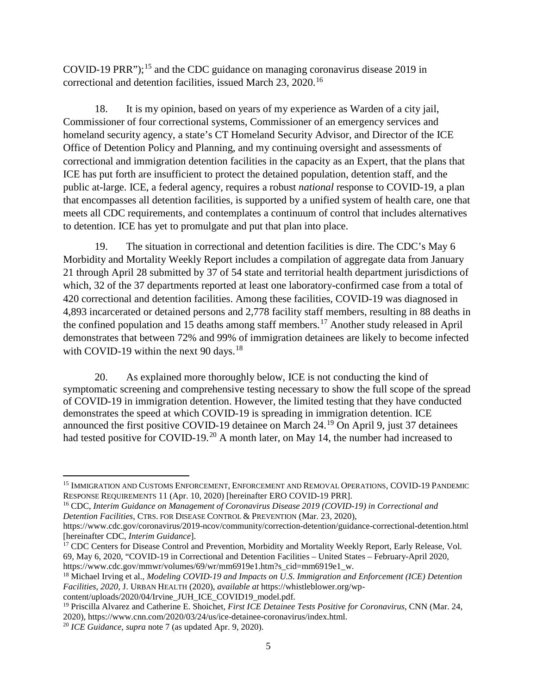COVID-19 PRR");<sup>[15](#page-4-0)</sup> and the CDC guidance on managing coronavirus disease 2019 in correctional and detention facilities, issued March 23, 2020.[16](#page-4-1)

18. It is my opinion, based on years of my experience as Warden of a city jail, Commissioner of four correctional systems, Commissioner of an emergency services and homeland security agency, a state's CT Homeland Security Advisor, and Director of the ICE Office of Detention Policy and Planning, and my continuing oversight and assessments of correctional and immigration detention facilities in the capacity as an Expert, that the plans that ICE has put forth are insufficient to protect the detained population, detention staff, and the public at-large. ICE, a federal agency, requires a robust *national* response to COVID-19, a plan that encompasses all detention facilities, is supported by a unified system of health care, one that meets all CDC requirements, and contemplates a continuum of control that includes alternatives to detention. ICE has yet to promulgate and put that plan into place.

19. The situation in correctional and detention facilities is dire. The CDC's May 6 Morbidity and Mortality Weekly Report includes a compilation of aggregate data from January 21 through April 28 submitted by 37 of 54 state and territorial health department jurisdictions of which, 32 of the 37 departments reported at least one laboratory-confirmed case from a total of 420 correctional and detention facilities. Among these facilities, COVID-19 was diagnosed in 4,893 incarcerated or detained persons and 2,778 facility staff members, resulting in 88 deaths in the confined population and 15 deaths among staff members.<sup>[17](#page-4-2)</sup> Another study released in April demonstrates that between 72% and 99% of immigration detainees are likely to become infected with COVID-19 within the next 90 days.<sup>[18](#page-4-3)</sup>

20. As explained more thoroughly below, ICE is not conducting the kind of symptomatic screening and comprehensive testing necessary to show the full scope of the spread of COVID-19 in immigration detention. However, the limited testing that they have conducted demonstrates the speed at which COVID-19 is spreading in immigration detention. ICE announced the first positive COVID-19 detainee on March 24.[19](#page-4-4) On April 9, just 37 detainees had tested positive for COVID-19.<sup>[20](#page-4-5)</sup> A month later, on May 14, the number had increased to

<span id="page-4-0"></span><sup>15</sup> IMMIGRATION AND CUSTOMS ENFORCEMENT, ENFORCEMENT AND REMOVAL OPERATIONS, COVID-19 PANDEMIC RESPONSE REQUIREMENTS 11 (Apr. 10, 2020) [hereinafter ERO COVID-19 PRR].

<span id="page-4-1"></span><sup>16</sup> CDC, *Interim Guidance on Management of Coronavirus Disease 2019 (COVID-19) in Correctional and Detention Facilities*, CTRS. FOR DISEASE CONTROL & PREVENTION (Mar. 23, 2020),

https://www.cdc.gov/coronavirus/2019-ncov/community/correction-detention/guidance-correctional-detention.html [hereinafter CDC, *Interim Guidance*].

<span id="page-4-2"></span><sup>&</sup>lt;sup>17</sup> CDC Centers for Disease Control and Prevention, Morbidity and Mortality Weekly Report, Early Release, Vol. 69, May 6, 2020, "COVID-19 in Correctional and Detention Facilities – United States – February-April 2020, https://www.cdc.gov/mmwr/volumes/69/wr/mm6919e1.htm?s\_cid=mm6919e1\_w.

<span id="page-4-3"></span><sup>18</sup> Michael Irving et al., *Modeling COVID-19 and Impacts on U.S. Immigration and Enforcement (ICE) Detention Facilities, 2020*, J. URBAN HEALTH (2020), *available at* https://whistleblower.org/wpcontent/uploads/2020/04/Irvine\_JUH\_ICE\_COVID19\_model.pdf.

<span id="page-4-4"></span><sup>19</sup> Priscilla Alvarez and Catherine E. Shoichet, *First ICE Detainee Tests Positive for Coronavirus*, CNN (Mar. 24, 2020), https://www.cnn.com/2020/03/24/us/ice-detainee-coronavirus/index.html.

<span id="page-4-5"></span><sup>20</sup> *ICE Guidance*, *supra* note 7 (as updated Apr. 9, 2020).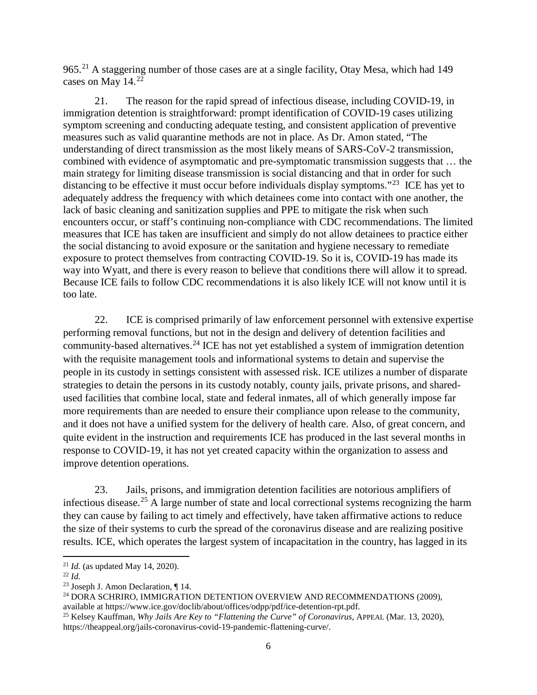965.<sup>[21](#page-5-0)</sup> A staggering number of those cases are at a single facility, Otay Mesa, which had 149 cases on May 14.<sup>[22](#page-5-1)</sup>

21. The reason for the rapid spread of infectious disease, including COVID-19, in immigration detention is straightforward: prompt identification of COVID-19 cases utilizing symptom screening and conducting adequate testing, and consistent application of preventive measures such as valid quarantine methods are not in place. As Dr. Amon stated, "The understanding of direct transmission as the most likely means of SARS-CoV-2 transmission, combined with evidence of asymptomatic and pre-symptomatic transmission suggests that … the main strategy for limiting disease transmission is social distancing and that in order for such distancing to be effective it must occur before individuals display symptoms."<sup>23</sup> ICE has yet to adequately address the frequency with which detainees come into contact with one another, the lack of basic cleaning and sanitization supplies and PPE to mitigate the risk when such encounters occur, or staff's continuing non-compliance with CDC recommendations. The limited measures that ICE has taken are insufficient and simply do not allow detainees to practice either the social distancing to avoid exposure or the sanitation and hygiene necessary to remediate exposure to protect themselves from contracting COVID-19. So it is, COVID-19 has made its way into Wyatt, and there is every reason to believe that conditions there will allow it to spread. Because ICE fails to follow CDC recommendations it is also likely ICE will not know until it is too late.

22. ICE is comprised primarily of law enforcement personnel with extensive expertise performing removal functions, but not in the design and delivery of detention facilities and community-based alternatives.[24](#page-5-3) ICE has not yet established a system of immigration detention with the requisite management tools and informational systems to detain and supervise the people in its custody in settings consistent with assessed risk. ICE utilizes a number of disparate strategies to detain the persons in its custody notably, county jails, private prisons, and sharedused facilities that combine local, state and federal inmates, all of which generally impose far more requirements than are needed to ensure their compliance upon release to the community, and it does not have a unified system for the delivery of health care. Also, of great concern, and quite evident in the instruction and requirements ICE has produced in the last several months in response to COVID-19, it has not yet created capacity within the organization to assess and improve detention operations.

23. Jails, prisons, and immigration detention facilities are notorious amplifiers of infectious disease.<sup>[25](#page-5-4)</sup> A large number of state and local correctional systems recognizing the harm they can cause by failing to act timely and effectively, have taken affirmative actions to reduce the size of their systems to curb the spread of the coronavirus disease and are realizing positive results. ICE, which operates the largest system of incapacitation in the country, has lagged in its

<span id="page-5-1"></span><span id="page-5-0"></span><sup>&</sup>lt;sup>21</sup> *Id.* (as updated May 14, 2020).<br><sup>22</sup> *Id.* <sup>23</sup> Joseph J. Amon Declaration, ¶ 14.

<span id="page-5-2"></span>

<span id="page-5-3"></span><sup>&</sup>lt;sup>24</sup> DORA SCHRIRO, IMMIGRATION DETENTION OVERVIEW AND RECOMMENDATIONS (2009), available at https://www.ice.gov/doclib/about/offices/odpp/pdf/ice-detention-rpt.pdf.

<span id="page-5-4"></span><sup>&</sup>lt;sup>25</sup> Kelsey Kauffman, *Why Jails Are Key to "Flattening the Curve" of Coronavirus*, APPEAL (Mar. 13, 2020), https://theappeal.org/jails-coronavirus-covid-19-pandemic-flattening-curve/.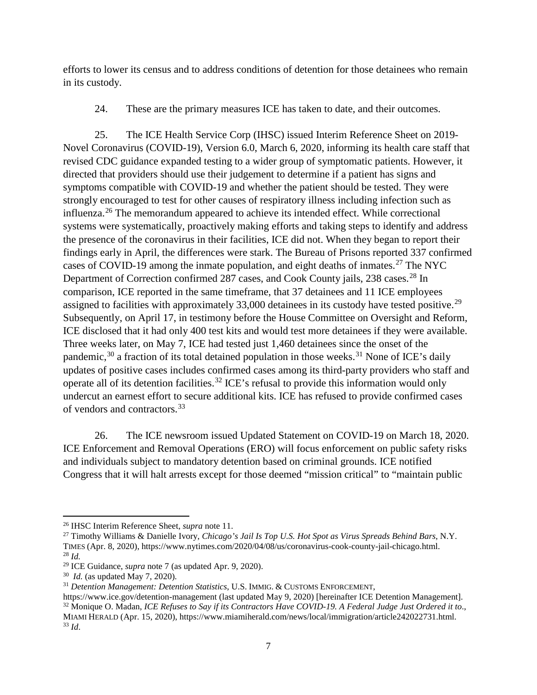efforts to lower its census and to address conditions of detention for those detainees who remain in its custody.

24. These are the primary measures ICE has taken to date, and their outcomes.

25. The ICE Health Service Corp (IHSC) issued Interim Reference Sheet on 2019- Novel Coronavirus (COVID-19), Version 6.0, March 6, 2020, informing its health care staff that revised CDC guidance expanded testing to a wider group of symptomatic patients. However, it directed that providers should use their judgement to determine if a patient has signs and symptoms compatible with COVID-19 and whether the patient should be tested. They were strongly encouraged to test for other causes of respiratory illness including infection such as influenza.[26](#page-6-0) The memorandum appeared to achieve its intended effect. While correctional systems were systematically, proactively making efforts and taking steps to identify and address the presence of the coronavirus in their facilities, ICE did not. When they began to report their findings early in April, the differences were stark. The Bureau of Prisons reported 337 confirmed cases of COVID-19 among the inmate population, and eight deaths of inmates.<sup>[27](#page-6-1)</sup> The NYC Department of Correction confirmed [28](#page-6-2)7 cases, and Cook County jails, 238 cases.<sup>28</sup> In comparison, ICE reported in the same timeframe, that 37 detainees and 11 ICE employees assigned to facilities with approximately 33,000 detainees in its custody have tested positive.<sup>[29](#page-6-3)</sup> Subsequently, on April 17, in testimony before the House Committee on Oversight and Reform, ICE disclosed that it had only 400 test kits and would test more detainees if they were available. Three weeks later, on May 7, ICE had tested just 1,460 detainees since the onset of the pandemic,<sup>[30](#page-6-4)</sup> a fraction of its total detained population in those weeks.<sup>[31](#page-6-5)</sup> None of ICE's daily updates of positive cases includes confirmed cases among its third-party providers who staff and operate all of its detention facilities.<sup>[32](#page-6-6)</sup> ICE's refusal to provide this information would only undercut an earnest effort to secure additional kits. ICE has refused to provide confirmed cases of vendors and contractors.[33](#page-6-7)

26. The ICE newsroom issued Updated Statement on COVID-19 on March 18, 2020. ICE Enforcement and Removal Operations (ERO) will focus enforcement on public safety risks and individuals subject to mandatory detention based on criminal grounds. ICE notified Congress that it will halt arrests except for those deemed "mission critical" to "maintain public

 $\overline{\phantom{a}}$ 

<span id="page-6-0"></span><sup>26</sup> IHSC Interim Reference Sheet, *supra* note 11.

<span id="page-6-1"></span><sup>27</sup> Timothy Williams & Danielle Ivory, *Chicago's Jail Is Top U.S. Hot Spot as Virus Spreads Behind Bars*, N.Y. TIMES (Apr. 8, 2020), https://www.nytimes.com/2020/04/08/us/coronavirus-cook-county-jail-chicago.html. <sup>28</sup> *Id.*

<span id="page-6-3"></span><span id="page-6-2"></span><sup>29</sup> ICE Guidance, *supra* note 7 (as updated Apr. 9, 2020).

<span id="page-6-4"></span><sup>30</sup> *Id.* (as updated May 7, 2020).

<span id="page-6-5"></span><sup>31</sup> *Detention Management: Detention Statistics*, U.S. IMMIG. & CUSTOMS ENFORCEMENT,

<span id="page-6-7"></span><span id="page-6-6"></span>https://www.ice.gov/detention-management (last updated May 9, 2020) [hereinafter ICE Detention Management]. <sup>32</sup> Monique O. Madan, *ICE Refuses to Say if its Contractors Have COVID-19. A Federal Judge Just Ordered it to*., MIAMI HERALD (Apr. 15, 2020), https://www.miamiherald.com/news/local/immigration/article242022731.html. <sup>33</sup> *Id*.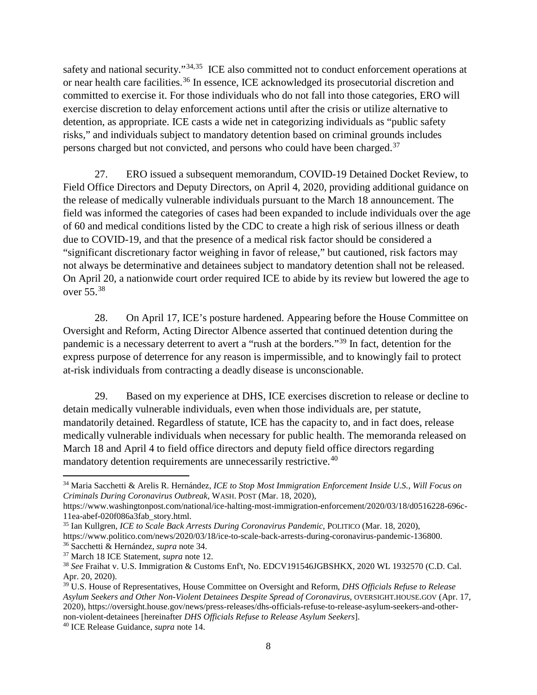safety and national security."<sup>[34,](#page-7-0)[35](#page-7-1)</sup> ICE also committed not to conduct enforcement operations at or near health care facilities.<sup>[36](#page-7-2)</sup> In essence, ICE acknowledged its prosecutorial discretion and committed to exercise it. For those individuals who do not fall into those categories, ERO will exercise discretion to delay enforcement actions until after the crisis or utilize alternative to detention, as appropriate. ICE casts a wide net in categorizing individuals as "public safety risks," and individuals subject to mandatory detention based on criminal grounds includes persons charged but not convicted, and persons who could have been charged.<sup>[37](#page-7-3)</sup>

27. ERO issued a subsequent memorandum, COVID-19 Detained Docket Review, to Field Office Directors and Deputy Directors, on April 4, 2020, providing additional guidance on the release of medically vulnerable individuals pursuant to the March 18 announcement. The field was informed the categories of cases had been expanded to include individuals over the age of 60 and medical conditions listed by the CDC to create a high risk of serious illness or death due to COVID-19, and that the presence of a medical risk factor should be considered a "significant discretionary factor weighing in favor of release," but cautioned, risk factors may not always be determinative and detainees subject to mandatory detention shall not be released. On April 20, a nationwide court order required ICE to abide by its review but lowered the age to over 55. [38](#page-7-4)

28. On April 17, ICE's posture hardened. Appearing before the House Committee on Oversight and Reform, Acting Director Albence asserted that continued detention during the pandemic is a necessary deterrent to avert a "rush at the borders."[39](#page-7-5) In fact, detention for the express purpose of deterrence for any reason is impermissible, and to knowingly fail to protect at-risk individuals from contracting a deadly disease is unconscionable.

29. Based on my experience at DHS, ICE exercises discretion to release or decline to detain medically vulnerable individuals, even when those individuals are, per statute, mandatorily detained. Regardless of statute, ICE has the capacity to, and in fact does, release medically vulnerable individuals when necessary for public health. The memoranda released on March 18 and April 4 to field office directors and deputy field office directors regarding mandatory detention requirements are unnecessarily restrictive.<sup>[40](#page-7-6)</sup>

<span id="page-7-0"></span><sup>34</sup> Maria Sacchetti & Arelis R. Hernández, *ICE to Stop Most Immigration Enforcement Inside U.S., Will Focus on Criminals During Coronavirus Outbreak*, WASH. POST (Mar. 18, 2020),

https://www.washingtonpost.com/national/ice-halting-most-immigration-enforcement/2020/03/18/d0516228-696c-11ea-abef-020f086a3fab\_story.html.

<span id="page-7-1"></span><sup>35</sup> Ian Kullgren, *ICE to Scale Back Arrests During Coronavirus Pandemic*, POLITICO (Mar. 18, 2020), https://www.politico.com/news/2020/03/18/ice-to-scale-back-arrests-during-coronavirus-pandemic-136800. <sup>36</sup> Sacchetti & Hernández, *supra* note 34.

<span id="page-7-3"></span><span id="page-7-2"></span><sup>37</sup> March 18 ICE Statement, *supra* note 12.

<span id="page-7-4"></span><sup>38</sup> *See* Fraihat v. U.S. Immigration & Customs Enf't, No. EDCV191546JGBSHKX, 2020 WL 1932570 (C.D. Cal. Apr. 20, 2020).

<span id="page-7-5"></span><sup>39</sup> U.S. House of Representatives, House Committee on Oversight and Reform, *DHS Officials Refuse to Release Asylum Seekers and Other Non-Violent Detainees Despite Spread of Coronavirus*, OVERSIGHT.HOUSE.GOV (Apr. 17, 2020), [https://oversight.house.gov/news/press-releases/dhs-officials-refuse-to-release-asylum-seekers-and-other](https://oversight.house.gov/news/press-releases/dhs-officials-refuse-to-release-asylum-seekers-and-other-non-violent-detainees)non-violent-detainees [hereinafter *DHS Officials Refuse to Release Asylum Seekers*]. 40 ICE Release Guidance, *supra* note 14.

<span id="page-7-6"></span>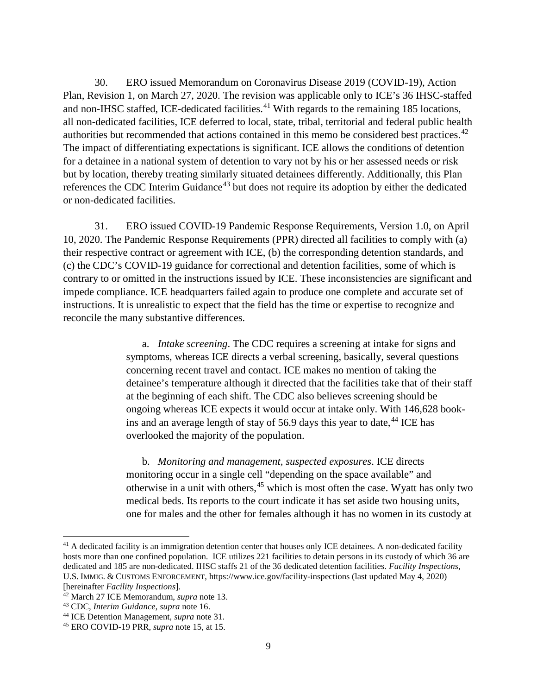30. ERO issued Memorandum on Coronavirus Disease 2019 (COVID-19), Action Plan, Revision 1, on March 27, 2020. The revision was applicable only to ICE's 36 IHSC-staffed and non-IHSC staffed, ICE-dedicated facilities.<sup>[41](#page-8-0)</sup> With regards to the remaining 185 locations, all non-dedicated facilities, ICE deferred to local, state, tribal, territorial and federal public health authorities but recommended that actions contained in this memo be considered best practices.<sup>[42](#page-8-1)</sup> The impact of differentiating expectations is significant. ICE allows the conditions of detention for a detainee in a national system of detention to vary not by his or her assessed needs or risk but by location, thereby treating similarly situated detainees differently. Additionally, this Plan references the CDC Interim Guidance<sup>[43](#page-8-2)</sup> but does not require its adoption by either the dedicated or non-dedicated facilities.

31. ERO issued COVID-19 Pandemic Response Requirements, Version 1.0, on April 10, 2020. The Pandemic Response Requirements (PPR) directed all facilities to comply with (a) their respective contract or agreement with ICE, (b) the corresponding detention standards, and (c) the CDC's COVID-19 guidance for correctional and detention facilities, some of which is contrary to or omitted in the instructions issued by ICE. These inconsistencies are significant and impede compliance. ICE headquarters failed again to produce one complete and accurate set of instructions. It is unrealistic to expect that the field has the time or expertise to recognize and reconcile the many substantive differences.

> a. *Intake screening*. The CDC requires a screening at intake for signs and symptoms, whereas ICE directs a verbal screening, basically, several questions concerning recent travel and contact. ICE makes no mention of taking the detainee's temperature although it directed that the facilities take that of their staff at the beginning of each shift. The CDC also believes screening should be ongoing whereas ICE expects it would occur at intake only. With 146,628 bookins and an average length of stay of  $56.9$  days this year to date,  $44$  ICE has overlooked the majority of the population.

> b. *Monitoring and management, suspected exposures*. ICE directs monitoring occur in a single cell "depending on the space available" and otherwise in a unit with others,<sup>[45](#page-8-4)</sup> which is most often the case. Wyatt has only two medical beds. Its reports to the court indicate it has set aside two housing units, one for males and the other for females although it has no women in its custody at

<span id="page-8-0"></span><sup>&</sup>lt;sup>41</sup> A dedicated facility is an immigration detention center that houses only ICE detainees. A non-dedicated facility hosts more than one confined population. ICE utilizes 221 facilities to detain persons in its custody of which 36 are dedicated and 185 are non-dedicated. IHSC staffs 21 of the 36 dedicated detention facilities. *Facility Inspections*, U.S. IMMIG. & CUSTOMS ENFORCEMENT, https://www.ice.gov/facility-inspections (last updated May 4, 2020) [hereinafter *Facility Inspections*].

<span id="page-8-1"></span><sup>42</sup> March 27 ICE Memorandum, *supra* note 13.

<span id="page-8-2"></span><sup>43</sup> CDC, *Interim Guidance*, *supra* note 16.

<span id="page-8-3"></span><sup>44</sup> ICE Detention Management, *supra* note 31.

<span id="page-8-4"></span><sup>45</sup> ERO COVID-19 PRR, *supra* note 15, at 15.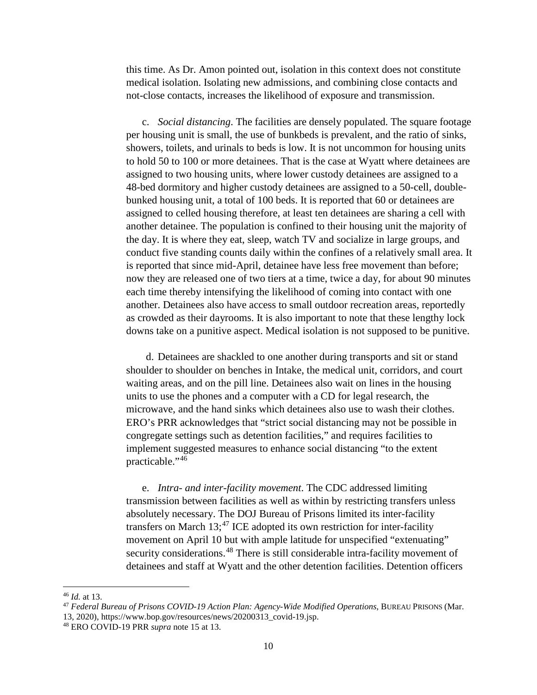this time. As Dr. Amon pointed out, isolation in this context does not constitute medical isolation. Isolating new admissions, and combining close contacts and not-close contacts, increases the likelihood of exposure and transmission.

c. *Social distancing*. The facilities are densely populated. The square footage per housing unit is small, the use of bunkbeds is prevalent, and the ratio of sinks, showers, toilets, and urinals to beds is low. It is not uncommon for housing units to hold 50 to 100 or more detainees. That is the case at Wyatt where detainees are assigned to two housing units, where lower custody detainees are assigned to a 48-bed dormitory and higher custody detainees are assigned to a 50-cell, doublebunked housing unit, a total of 100 beds. It is reported that 60 or detainees are assigned to celled housing therefore, at least ten detainees are sharing a cell with another detainee. The population is confined to their housing unit the majority of the day. It is where they eat, sleep, watch TV and socialize in large groups, and conduct five standing counts daily within the confines of a relatively small area. It is reported that since mid-April, detainee have less free movement than before; now they are released one of two tiers at a time, twice a day, for about 90 minutes each time thereby intensifying the likelihood of coming into contact with one another. Detainees also have access to small outdoor recreation areas, reportedly as crowded as their dayrooms. It is also important to note that these lengthy lock downs take on a punitive aspect. Medical isolation is not supposed to be punitive.

d. Detainees are shackled to one another during transports and sit or stand shoulder to shoulder on benches in Intake, the medical unit, corridors, and court waiting areas, and on the pill line. Detainees also wait on lines in the housing units to use the phones and a computer with a CD for legal research, the microwave, and the hand sinks which detainees also use to wash their clothes. ERO's PRR acknowledges that "strict social distancing may not be possible in congregate settings such as detention facilities," and requires facilities to implement suggested measures to enhance social distancing "to the extent practicable."[46](#page-9-0)

e. *Intra- and inter-facility movement*. The CDC addressed limiting transmission between facilities as well as within by restricting transfers unless absolutely necessary. The DOJ Bureau of Prisons limited its inter-facility transfers on March  $13$ ;<sup>[47](#page-9-1)</sup> ICE adopted its own restriction for inter-facility movement on April 10 but with ample latitude for unspecified "extenuating" security considerations.<sup>[48](#page-9-2)</sup> There is still considerable intra-facility movement of detainees and staff at Wyatt and the other detention facilities. Detention officers

<span id="page-9-0"></span><sup>46</sup> *Id.* at 13.

<span id="page-9-1"></span><sup>47</sup> *Federal Bureau of Prisons COVID-19 Action Plan: Agency-Wide Modified Operations*, BUREAU PRISONS (Mar. 13, 2020), https://www.bop.gov/resources/news/20200313\_covid-19.jsp.

<span id="page-9-2"></span><sup>48</sup> ERO COVID-19 PRR *supra* note 15 at 13.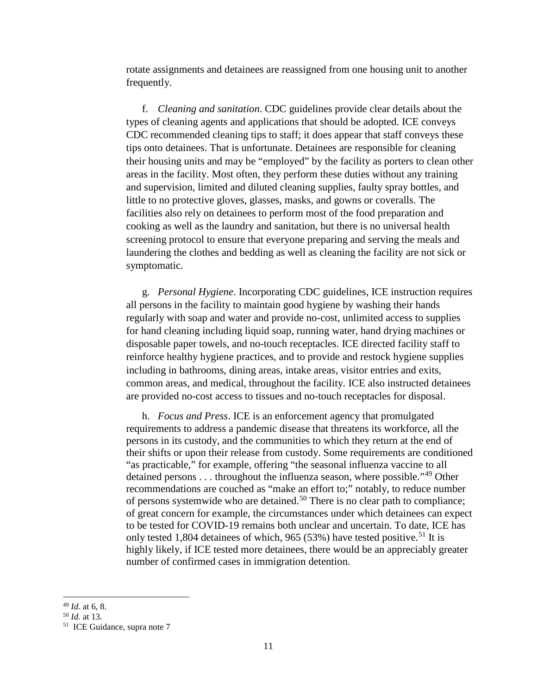rotate assignments and detainees are reassigned from one housing unit to another frequently.

f. *Cleaning and sanitation*. CDC guidelines provide clear details about the types of cleaning agents and applications that should be adopted. ICE conveys CDC recommended cleaning tips to staff; it does appear that staff conveys these tips onto detainees. That is unfortunate. Detainees are responsible for cleaning their housing units and may be "employed" by the facility as porters to clean other areas in the facility. Most often, they perform these duties without any training and supervision, limited and diluted cleaning supplies, faulty spray bottles, and little to no protective gloves, glasses, masks, and gowns or coveralls. The facilities also rely on detainees to perform most of the food preparation and cooking as well as the laundry and sanitation, but there is no universal health screening protocol to ensure that everyone preparing and serving the meals and laundering the clothes and bedding as well as cleaning the facility are not sick or symptomatic.

g. *Personal Hygiene*. Incorporating CDC guidelines, ICE instruction requires all persons in the facility to maintain good hygiene by washing their hands regularly with soap and water and provide no-cost, unlimited access to supplies for hand cleaning including liquid soap, running water, hand drying machines or disposable paper towels, and no-touch receptacles. ICE directed facility staff to reinforce healthy hygiene practices, and to provide and restock hygiene supplies including in bathrooms, dining areas, intake areas, visitor entries and exits, common areas, and medical, throughout the facility. ICE also instructed detainees are provided no-cost access to tissues and no-touch receptacles for disposal.

h. *Focus and Press*. ICE is an enforcement agency that promulgated requirements to address a pandemic disease that threatens its workforce, all the persons in its custody, and the communities to which they return at the end of their shifts or upon their release from custody. Some requirements are conditioned "as practicable," for example, offering "the seasonal influenza vaccine to all detained persons . . . throughout the influenza season, where possible."<sup>[49](#page-10-0)</sup> Other recommendations are couched as "make an effort to;" notably, to reduce number of persons systemwide who are detained.[50](#page-10-1) There is no clear path to compliance; of great concern for example, the circumstances under which detainees can expect to be tested for COVID-19 remains both unclear and uncertain. To date, ICE has only tested 1,804 detainees of which, 965 (53%) have tested positive.<sup>[51](#page-10-2)</sup> It is highly likely, if ICE tested more detainees, there would be an appreciably greater number of confirmed cases in immigration detention.

<span id="page-10-0"></span><sup>49</sup> *Id*. at 6, 8.

<sup>50</sup> *Id.* at 13.

<span id="page-10-2"></span><span id="page-10-1"></span><sup>51</sup> ICE Guidance, supra note 7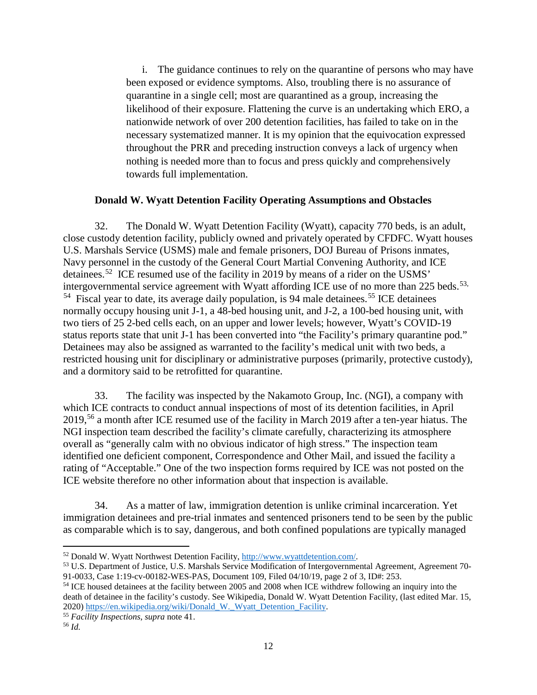i. The guidance continues to rely on the quarantine of persons who may have been exposed or evidence symptoms. Also, troubling there is no assurance of quarantine in a single cell; most are quarantined as a group, increasing the likelihood of their exposure. Flattening the curve is an undertaking which ERO, a nationwide network of over 200 detention facilities, has failed to take on in the necessary systematized manner. It is my opinion that the equivocation expressed throughout the PRR and preceding instruction conveys a lack of urgency when nothing is needed more than to focus and press quickly and comprehensively towards full implementation.

## **Donald W. Wyatt Detention Facility Operating Assumptions and Obstacles**

32. The Donald W. Wyatt Detention Facility (Wyatt), capacity 770 beds, is an adult, close custody detention facility, publicly owned and privately operated by CFDFC. Wyatt houses U.S. Marshals Service (USMS) male and female prisoners, DOJ Bureau of Prisons inmates, Navy personnel in the custody of the General Court Martial Convening Authority, and ICE detainees.[52](#page-11-0) ICE resumed use of the facility in 2019 by means of a rider on the USMS' intergovernmental service agreement with Wyatt affording ICE use of no more than  $225$  beds.<sup>[53,](#page-11-1)</sup>  $54$  Fiscal year to date, its average daily population, is 94 male detainees.<sup>[55](#page-11-3)</sup> ICE detainees normally occupy housing unit J-1, a 48-bed housing unit, and J-2, a 100-bed housing unit, with two tiers of 25 2-bed cells each, on an upper and lower levels; however, Wyatt's COVID-19 status reports state that unit J-1 has been converted into "the Facility's primary quarantine pod." Detainees may also be assigned as warranted to the facility's medical unit with two beds, a restricted housing unit for disciplinary or administrative purposes (primarily, protective custody), and a dormitory said to be retrofitted for quarantine.

33. The facility was inspected by the Nakamoto Group, Inc. (NGI), a company with which ICE contracts to conduct annual inspections of most of its detention facilities, in April 2019,<sup>[56](#page-11-4)</sup> a month after ICE resumed use of the facility in March 2019 after a ten-year hiatus. The NGI inspection team described the facility's climate carefully, characterizing its atmosphere overall as "generally calm with no obvious indicator of high stress." The inspection team identified one deficient component, Correspondence and Other Mail, and issued the facility a rating of "Acceptable." One of the two inspection forms required by ICE was not posted on the ICE website therefore no other information about that inspection is available.

34. As a matter of law, immigration detention is unlike criminal incarceration. Yet immigration detainees and pre-trial inmates and sentenced prisoners tend to be seen by the public as comparable which is to say, dangerous, and both confined populations are typically managed

<span id="page-11-4"></span><span id="page-11-3"></span><sup>55</sup> *Facility Inspections*, *supra* note 41.

<span id="page-11-1"></span><span id="page-11-0"></span><sup>&</sup>lt;sup>52</sup> Donald W. Wyatt Northwest Detention Facility,  $\frac{http://www.wyattdetention.com/}{http://www.wyattdetention.com/}$ .<br><sup>53</sup> U.S. Department of Justice, U.S. Marshals Service Modification of Intergovernmental Agreement, Agreement 70-<br>91-0033, Case 1:19-cv-001

<span id="page-11-2"></span><sup>&</sup>lt;sup>54</sup> ICE housed detainees at the facility between 2005 and 2008 when ICE withdrew following an inquiry into the death of detainee in the facility's custody. See Wikipedia, Donald W. Wyatt Detention Facility, (last edited Mar. 15, 2020) [https://en.wikipedia.org/wiki/Donald\\_W.\\_Wyatt\\_Detention\\_Facility.](https://en.wikipedia.org/wiki/Donald_W._Wyatt_Detention_Facility)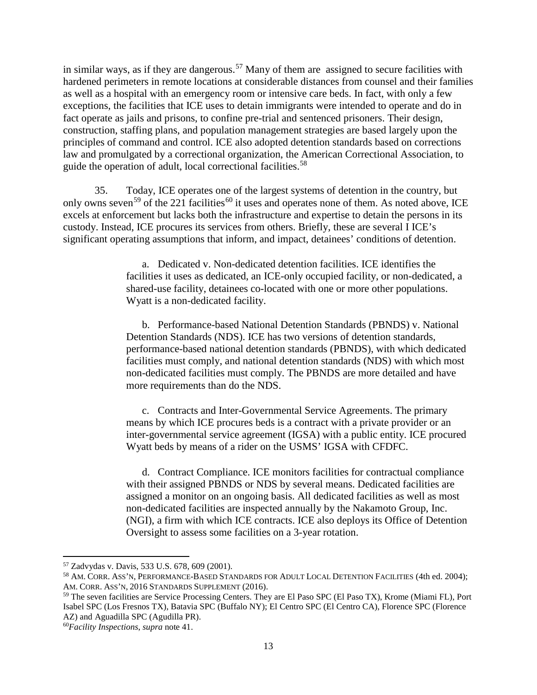in similar ways, as if they are dangerous.<sup>[57](#page-12-0)</sup> Many of them are assigned to secure facilities with hardened perimeters in remote locations at considerable distances from counsel and their families as well as a hospital with an emergency room or intensive care beds. In fact, with only a few exceptions, the facilities that ICE uses to detain immigrants were intended to operate and do in fact operate as jails and prisons, to confine pre-trial and sentenced prisoners. Their design, construction, staffing plans, and population management strategies are based largely upon the principles of command and control. ICE also adopted detention standards based on corrections law and promulgated by a correctional organization, the American Correctional Association, to guide the operation of adult, local correctional facilities.[58](#page-12-1)

35. Today, ICE operates one of the largest systems of detention in the country, but only owns seven<sup>[59](#page-12-2)</sup> of the 221 facilities<sup>[60](#page-12-3)</sup> it uses and operates none of them. As noted above, ICE excels at enforcement but lacks both the infrastructure and expertise to detain the persons in its custody. Instead, ICE procures its services from others. Briefly, these are several I ICE's significant operating assumptions that inform, and impact, detainees' conditions of detention.

> a. Dedicated v. Non-dedicated detention facilities. ICE identifies the facilities it uses as dedicated, an ICE-only occupied facility, or non-dedicated, a shared-use facility, detainees co-located with one or more other populations. Wyatt is a non-dedicated facility.

b. Performance-based National Detention Standards (PBNDS) v. National Detention Standards (NDS). ICE has two versions of detention standards, performance-based national detention standards (PBNDS), with which dedicated facilities must comply, and national detention standards (NDS) with which most non-dedicated facilities must comply. The PBNDS are more detailed and have more requirements than do the NDS.

c. Contracts and Inter-Governmental Service Agreements. The primary means by which ICE procures beds is a contract with a private provider or an inter-governmental service agreement (IGSA) with a public entity. ICE procured Wyatt beds by means of a rider on the USMS' IGSA with CFDFC.

d. Contract Compliance. ICE monitors facilities for contractual compliance with their assigned PBNDS or NDS by several means. Dedicated facilities are assigned a monitor on an ongoing basis. All dedicated facilities as well as most non-dedicated facilities are inspected annually by the Nakamoto Group, Inc. (NGI), a firm with which ICE contracts. ICE also deploys its Office of Detention Oversight to assess some facilities on a 3-year rotation.

<span id="page-12-1"></span><span id="page-12-0"></span><sup>&</sup>lt;sup>57</sup> Zadvydas v. Davis, 533 U.S. 678, 609 (2001).<br><sup>58</sup> AM. CORR. ASS'N, PERFORMANCE-BASED STANDARDS FOR ADULT LOCAL DETENTION FACILITIES (4th ed. 2004); AM. CORR. ASS'N, 2016 STANDARDS SUPPLEMENT (2016).

<span id="page-12-2"></span><sup>59</sup> The seven facilities are Service Processing Centers. They are El Paso SPC (El Paso TX), Krome (Miami FL), Port Isabel SPC (Los Fresnos TX), Batavia SPC (Buffalo NY); El Centro SPC (El Centro CA), Florence SPC (Florence AZ) and Aguadilla SPC (Agudilla PR).

<span id="page-12-3"></span><sup>60</sup>*Facility Inspections*, *supra* note 41.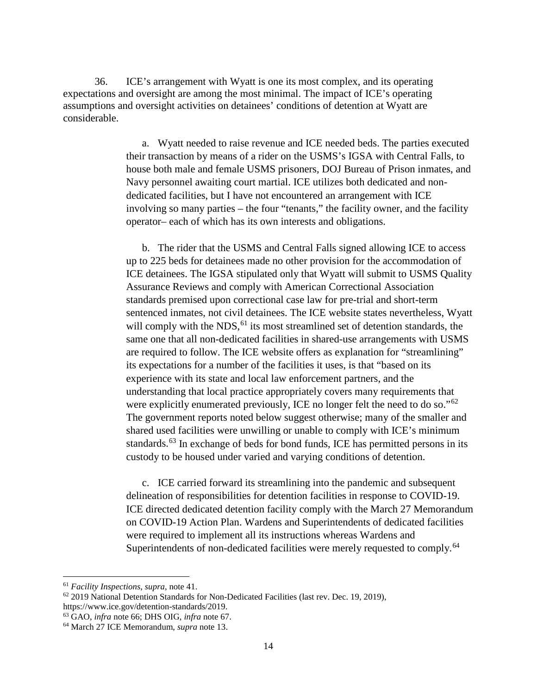36. ICE's arrangement with Wyatt is one its most complex, and its operating expectations and oversight are among the most minimal. The impact of ICE's operating assumptions and oversight activities on detainees' conditions of detention at Wyatt are considerable.

> a. Wyatt needed to raise revenue and ICE needed beds. The parties executed their transaction by means of a rider on the USMS's IGSA with Central Falls, to house both male and female USMS prisoners, DOJ Bureau of Prison inmates, and Navy personnel awaiting court martial. ICE utilizes both dedicated and nondedicated facilities, but I have not encountered an arrangement with ICE involving so many parties – the four "tenants," the facility owner, and the facility operator– each of which has its own interests and obligations.

> b. The rider that the USMS and Central Falls signed allowing ICE to access up to 225 beds for detainees made no other provision for the accommodation of ICE detainees. The IGSA stipulated only that Wyatt will submit to USMS Quality Assurance Reviews and comply with American Correctional Association standards premised upon correctional case law for pre-trial and short-term sentenced inmates, not civil detainees. The ICE website states nevertheless, Wyatt will comply with the  $NDS$ ,  $61$  its most streamlined set of detention standards, the same one that all non-dedicated facilities in shared-use arrangements with USMS are required to follow. The ICE website offers as explanation for "streamlining" its expectations for a number of the facilities it uses, is that "based on its experience with its state and local law enforcement partners, and the understanding that local practice appropriately covers many requirements that were explicitly enumerated previously, ICE no longer felt the need to do so."<sup>[62](#page-13-1)</sup> The government reports noted below suggest otherwise; many of the smaller and shared used facilities were unwilling or unable to comply with ICE's minimum standards.<sup>[63](#page-13-2)</sup> In exchange of beds for bond funds, ICE has permitted persons in its custody to be housed under varied and varying conditions of detention.

> c. ICE carried forward its streamlining into the pandemic and subsequent delineation of responsibilities for detention facilities in response to COVID-19. ICE directed dedicated detention facility comply with the March 27 Memorandum on COVID-19 Action Plan. Wardens and Superintendents of dedicated facilities were required to implement all its instructions whereas Wardens and Superintendents of non-dedicated facilities were merely requested to comply.<sup>[64](#page-13-3)</sup>

 $\overline{\phantom{a}}$ 

<span id="page-13-0"></span><sup>61</sup> *Facility Inspections*, *supra*, note 41.

<span id="page-13-1"></span> $62$  2019 National Detention Standards for Non-Dedicated Facilities (last rev. Dec. 19, 2019), https://www.ice.gov/detention-standards/2019.

<span id="page-13-2"></span><sup>63</sup> GAO, *infra* note 66; DHS OIG, *infra* note 67.

<span id="page-13-3"></span><sup>64</sup> March 27 ICE Memorandum, *supra* note 13.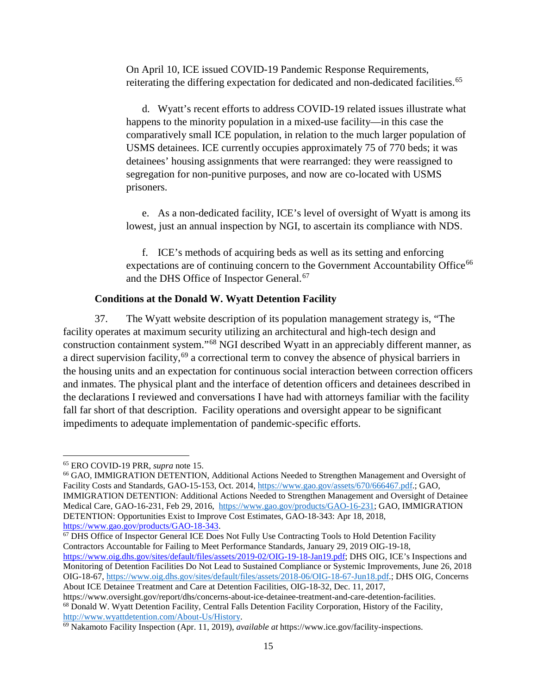On April 10, ICE issued COVID-19 Pandemic Response Requirements, reiterating the differing expectation for dedicated and non-dedicated facilities.<sup>[65](#page-14-0)</sup>

d. Wyatt's recent efforts to address COVID-19 related issues illustrate what happens to the minority population in a mixed-use facility—in this case the comparatively small ICE population, in relation to the much larger population of USMS detainees. ICE currently occupies approximately 75 of 770 beds; it was detainees' housing assignments that were rearranged: they were reassigned to segregation for non-punitive purposes, and now are co-located with USMS prisoners.

e. As a non-dedicated facility, ICE's level of oversight of Wyatt is among its lowest, just an annual inspection by NGI, to ascertain its compliance with NDS.

f. ICE's methods of acquiring beds as well as its setting and enforcing expectations are of continuing concern to the Government Accountability Office<sup>[66](#page-14-1)</sup> and the DHS Office of Inspector General.<sup>[67](#page-14-2)</sup>

# **Conditions at the Donald W. Wyatt Detention Facility**

37. The Wyatt website description of its population management strategy is, "The facility operates at maximum security utilizing an architectural and high-tech design and construction containment system."[68](#page-14-3) NGI described Wyatt in an appreciably different manner, as a direct supervision facility,<sup>[69](#page-14-4)</sup> a correctional term to convey the absence of physical barriers in the housing units and an expectation for continuous social interaction between correction officers and inmates. The physical plant and the interface of detention officers and detainees described in the declarations I reviewed and conversations I have had with attorneys familiar with the facility fall far short of that description. Facility operations and oversight appear to be significant impediments to adequate implementation of pandemic-specific efforts.

 $\overline{\phantom{a}}$ 

<span id="page-14-2"></span><sup>67</sup> DHS Office of Inspector General ICE Does Not Fully Use Contracting Tools to Hold Detention Facility Contractors Accountable for Failing to Meet Performance Standards, January 29, 2019 OIG-19-18,

<span id="page-14-0"></span><sup>65</sup> ERO COVID-19 PRR, *supra* note 15.

<span id="page-14-1"></span><sup>66</sup> GAO, IMMIGRATION DETENTION, Additional Actions Needed to Strengthen Management and Oversight of Facility Costs and Standards, GAO-15-153, Oct. 2014, [https://www.gao.gov/assets/670/666467.pdf.;](https://www.gao.gov/assets/670/666467.pdf) GAO, IMMIGRATION DETENTION: Additional Actions Needed to Strengthen Management and Oversight of Detainee Medical Care, GAO-16-231, Feb 29, 2016, [https://www.gao.gov/products/GAO-16-231;](https://www.gao.gov/products/GAO-16-231) GAO, IMMIGRATION DETENTION: Opportunities Exist to Improve Cost Estimates, GAO-18-343: Apr 18, 2018, [https://www.gao.gov/products/GAO-18-343.](https://www.gao.gov/products/GAO-18-343)

[https://www.oig.dhs.gov/sites/default/files/assets/2019-02/OIG-19-18-Jan19.pdf;](https://www.oig.dhs.gov/sites/default/files/assets/2019-02/OIG-19-18-Jan19.pdf) DHS OIG, ICE's Inspections and Monitoring of Detention Facilities Do Not Lead to Sustained Compliance or Systemic Improvements, June 26, 2018 OIG-18-67, [https://www.oig.dhs.gov/sites/default/files/assets/2018-06/OIG-18-67-Jun18.pdf.](https://www.oig.dhs.gov/sites/default/files/assets/2018-06/OIG-18-67-Jun18.pdf); DHS OIG, Concerns About ICE Detainee Treatment and Care at Detention Facilities, OIG-18-32, Dec. 11, 2017,

<span id="page-14-3"></span>https://www.oversight.gov/report/dhs/concerns-about-ice-detainee-treatment-and-care-detention-facilities. <sup>68</sup> Donald W. Wyatt Detention Facility, Central Falls Detention Facility Corporation, History of the Facility,

<span id="page-14-4"></span>[http://www.wyattdetention.com/About-Us/History.](http://www.wyattdetention.com/About-Us/History) 69 Nakamoto Facility Inspection (Apr. 11, 2019), *available at* https://www.ice.gov/facility-inspections.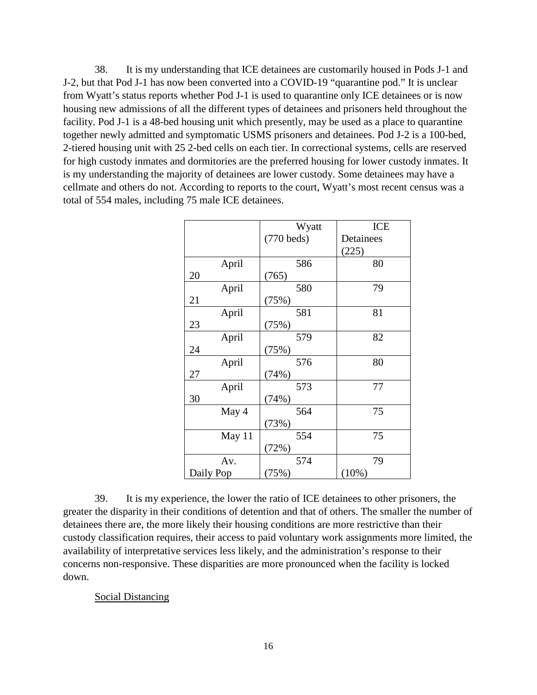38. It is my understanding that ICE detainees are customarily housed in Pods J-1 and J-2, but that Pod J-1 has now been converted into a COVID-19 "quarantine pod." It is unclear from Wyatt's status reports whether Pod J-1 is used to quarantine only ICE detainees or is now housing new admissions of all the different types of detainees and prisoners held throughout the facility. Pod J-1 is a 48-bed housing unit which presently, may be used as a place to quarantine together newly admitted and symptomatic USMS prisoners and detainees. Pod J-2 is a 100-bed, 2-tiered housing unit with 25 2-bed cells on each tier. In correctional systems, cells are reserved for high custody inmates and dormitories are the preferred housing for lower custody inmates. It is my understanding the majority of detainees are lower custody. Some detainees may have a cellmate and others do not. According to reports to the court, Wyatt's most recent census was a total of 554 males, including 75 male ICE detainees.

|           | Wyatt        | <b>ICE</b> |
|-----------|--------------|------------|
|           | $(770$ beds) | Detainees  |
|           |              | (225)      |
| April     | 586          | 80         |
| 20        | (765)        |            |
| April     | 580          | 79         |
| 21        | (75%)        |            |
| April     | 581          | 81         |
| 23        | (75%)        |            |
| April     | 579          | 82         |
| 24        | (75%)        |            |
| April     | 576          | 80         |
| 27        | (74%)        |            |
| April     | 573          | 77         |
| 30        | (74%)        |            |
| May 4     | 564          | 75         |
|           | (73%)        |            |
| May 11    | 554          | 75         |
|           | (72%)        |            |
| Av.       | 574          | 79         |
| Daily Pop | (75%)        | (10%)      |

39. It is my experience, the lower the ratio of ICE detainees to other prisoners, the greater the disparity in their conditions of detention and that of others. The smaller the number of detainees there are, the more likely their housing conditions are more restrictive than their custody classification requires, their access to paid voluntary work assignments more limited, the availability of interpretative services less likely, and the administration's response to their concerns non-responsive. These disparities are more pronounced when the facility is locked down.

## Social Distancing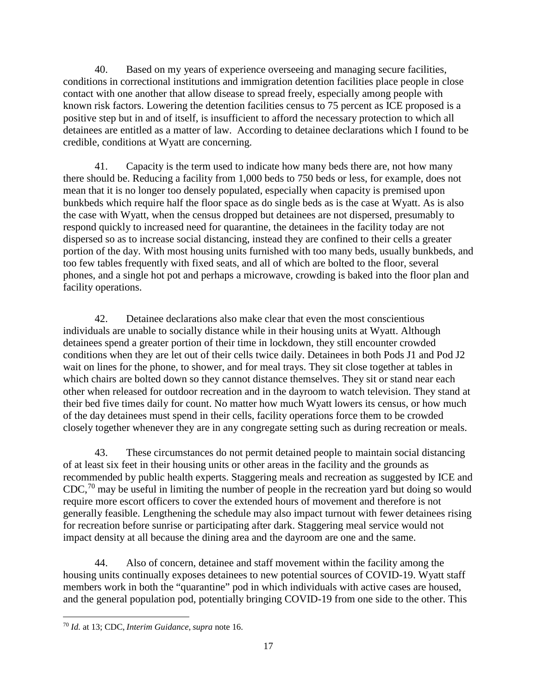40. Based on my years of experience overseeing and managing secure facilities, conditions in correctional institutions and immigration detention facilities place people in close contact with one another that allow disease to spread freely, especially among people with known risk factors. Lowering the detention facilities census to 75 percent as ICE proposed is a positive step but in and of itself, is insufficient to afford the necessary protection to which all detainees are entitled as a matter of law. According to detainee declarations which I found to be credible, conditions at Wyatt are concerning.

41. Capacity is the term used to indicate how many beds there are, not how many there should be. Reducing a facility from 1,000 beds to 750 beds or less, for example, does not mean that it is no longer too densely populated, especially when capacity is premised upon bunkbeds which require half the floor space as do single beds as is the case at Wyatt. As is also the case with Wyatt, when the census dropped but detainees are not dispersed, presumably to respond quickly to increased need for quarantine, the detainees in the facility today are not dispersed so as to increase social distancing, instead they are confined to their cells a greater portion of the day. With most housing units furnished with too many beds, usually bunkbeds, and too few tables frequently with fixed seats, and all of which are bolted to the floor, several phones, and a single hot pot and perhaps a microwave, crowding is baked into the floor plan and facility operations.

42. Detainee declarations also make clear that even the most conscientious individuals are unable to socially distance while in their housing units at Wyatt. Although detainees spend a greater portion of their time in lockdown, they still encounter crowded conditions when they are let out of their cells twice daily. Detainees in both Pods J1 and Pod J2 wait on lines for the phone, to shower, and for meal trays. They sit close together at tables in which chairs are bolted down so they cannot distance themselves. They sit or stand near each other when released for outdoor recreation and in the dayroom to watch television. They stand at their bed five times daily for count. No matter how much Wyatt lowers its census, or how much of the day detainees must spend in their cells, facility operations force them to be crowded closely together whenever they are in any congregate setting such as during recreation or meals.

43. These circumstances do not permit detained people to maintain social distancing of at least six feet in their housing units or other areas in the facility and the grounds as recommended by public health experts. Staggering meals and recreation as suggested by ICE and  $CDC<sup>70</sup>$  $CDC<sup>70</sup>$  $CDC<sup>70</sup>$  may be useful in limiting the number of people in the recreation yard but doing so would require more escort officers to cover the extended hours of movement and therefore is not generally feasible. Lengthening the schedule may also impact turnout with fewer detainees rising for recreation before sunrise or participating after dark. Staggering meal service would not impact density at all because the dining area and the dayroom are one and the same.

44. Also of concern, detainee and staff movement within the facility among the housing units continually exposes detainees to new potential sources of COVID-19. Wyatt staff members work in both the "quarantine" pod in which individuals with active cases are housed, and the general population pod, potentially bringing COVID-19 from one side to the other. This

<span id="page-16-0"></span>l <sup>70</sup> *Id.* at 13; CDC, *Interim Guidance*, *supra* note 16.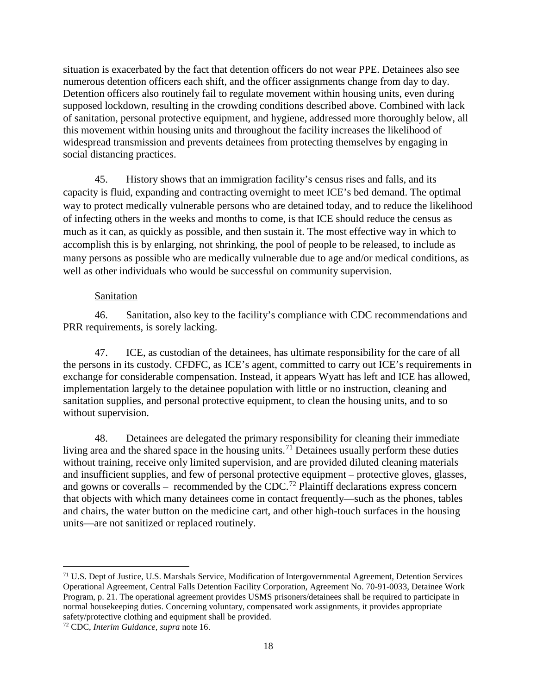situation is exacerbated by the fact that detention officers do not wear PPE. Detainees also see numerous detention officers each shift, and the officer assignments change from day to day. Detention officers also routinely fail to regulate movement within housing units, even during supposed lockdown, resulting in the crowding conditions described above. Combined with lack of sanitation, personal protective equipment, and hygiene, addressed more thoroughly below, all this movement within housing units and throughout the facility increases the likelihood of widespread transmission and prevents detainees from protecting themselves by engaging in social distancing practices.

45. History shows that an immigration facility's census rises and falls, and its capacity is fluid, expanding and contracting overnight to meet ICE's bed demand. The optimal way to protect medically vulnerable persons who are detained today, and to reduce the likelihood of infecting others in the weeks and months to come, is that ICE should reduce the census as much as it can, as quickly as possible, and then sustain it. The most effective way in which to accomplish this is by enlarging, not shrinking, the pool of people to be released, to include as many persons as possible who are medically vulnerable due to age and/or medical conditions, as well as other individuals who would be successful on community supervision.

## Sanitation

46. Sanitation, also key to the facility's compliance with CDC recommendations and PRR requirements, is sorely lacking.

47. ICE, as custodian of the detainees, has ultimate responsibility for the care of all the persons in its custody. CFDFC, as ICE's agent, committed to carry out ICE's requirements in exchange for considerable compensation. Instead, it appears Wyatt has left and ICE has allowed, implementation largely to the detainee population with little or no instruction, cleaning and sanitation supplies, and personal protective equipment, to clean the housing units, and to so without supervision.

48. Detainees are delegated the primary responsibility for cleaning their immediate living area and the shared space in the housing units.<sup>[71](#page-17-0)</sup> Detainees usually perform these duties without training, receive only limited supervision, and are provided diluted cleaning materials and insufficient supplies, and few of personal protective equipment – protective gloves, glasses, and gowns or coveralls – recommended by the CDC.<sup>[72](#page-17-1)</sup> Plaintiff declarations express concern that objects with which many detainees come in contact frequently—such as the phones, tables and chairs, the water button on the medicine cart, and other high-touch surfaces in the housing units—are not sanitized or replaced routinely.

<span id="page-17-0"></span> $\overline{a}$ <sup>71</sup> U.S. Dept of Justice, U.S. Marshals Service, Modification of Intergovernmental Agreement, Detention Services Operational Agreement, Central Falls Detention Facility Corporation, Agreement No. 70-91-0033, Detainee Work Program, p. 21. The operational agreement provides USMS prisoners/detainees shall be required to participate in normal housekeeping duties. Concerning voluntary, compensated work assignments, it provides appropriate safety/protective clothing and equipment shall be provided.

<span id="page-17-1"></span><sup>72</sup> CDC, *Interim Guidance*, *supra* note 16.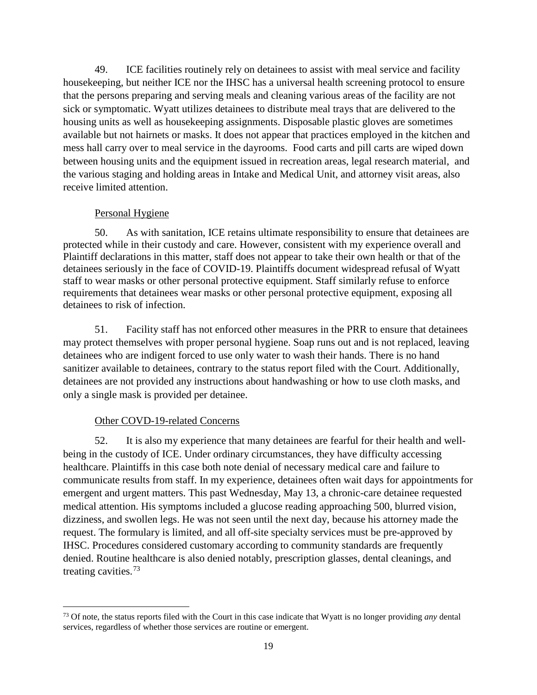49. ICE facilities routinely rely on detainees to assist with meal service and facility housekeeping, but neither ICE nor the IHSC has a universal health screening protocol to ensure that the persons preparing and serving meals and cleaning various areas of the facility are not sick or symptomatic. Wyatt utilizes detainees to distribute meal trays that are delivered to the housing units as well as housekeeping assignments. Disposable plastic gloves are sometimes available but not hairnets or masks. It does not appear that practices employed in the kitchen and mess hall carry over to meal service in the dayrooms. Food carts and pill carts are wiped down between housing units and the equipment issued in recreation areas, legal research material, and the various staging and holding areas in Intake and Medical Unit, and attorney visit areas, also receive limited attention.

# Personal Hygiene

50. As with sanitation, ICE retains ultimate responsibility to ensure that detainees are protected while in their custody and care. However, consistent with my experience overall and Plaintiff declarations in this matter, staff does not appear to take their own health or that of the detainees seriously in the face of COVID-19. Plaintiffs document widespread refusal of Wyatt staff to wear masks or other personal protective equipment. Staff similarly refuse to enforce requirements that detainees wear masks or other personal protective equipment, exposing all detainees to risk of infection.

51. Facility staff has not enforced other measures in the PRR to ensure that detainees may protect themselves with proper personal hygiene. Soap runs out and is not replaced, leaving detainees who are indigent forced to use only water to wash their hands. There is no hand sanitizer available to detainees, contrary to the status report filed with the Court. Additionally, detainees are not provided any instructions about handwashing or how to use cloth masks, and only a single mask is provided per detainee.

# Other COVD-19-related Concerns

l

52. It is also my experience that many detainees are fearful for their health and wellbeing in the custody of ICE. Under ordinary circumstances, they have difficulty accessing healthcare. Plaintiffs in this case both note denial of necessary medical care and failure to communicate results from staff. In my experience, detainees often wait days for appointments for emergent and urgent matters. This past Wednesday, May 13, a chronic-care detainee requested medical attention. His symptoms included a glucose reading approaching 500, blurred vision, dizziness, and swollen legs. He was not seen until the next day, because his attorney made the request. The formulary is limited, and all off-site specialty services must be pre-approved by IHSC. Procedures considered customary according to community standards are frequently denied. Routine healthcare is also denied notably, prescription glasses, dental cleanings, and treating cavities.[73](#page-18-0) 

<span id="page-18-0"></span><sup>73</sup> Of note, the status reports filed with the Court in this case indicate that Wyatt is no longer providing *any* dental services, regardless of whether those services are routine or emergent.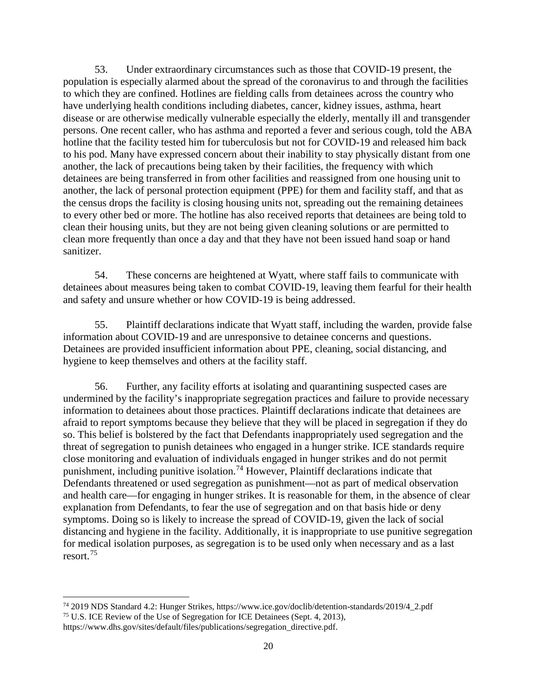53. Under extraordinary circumstances such as those that COVID-19 present, the population is especially alarmed about the spread of the coronavirus to and through the facilities to which they are confined. Hotlines are fielding calls from detainees across the country who have underlying health conditions including diabetes, cancer, kidney issues, asthma, heart disease or are otherwise medically vulnerable especially the elderly, mentally ill and transgender persons. One recent caller, who has asthma and reported a fever and serious cough, told the ABA hotline that the facility tested him for tuberculosis but not for COVID-19 and released him back to his pod. Many have expressed concern about their inability to stay physically distant from one another, the lack of precautions being taken by their facilities, the frequency with which detainees are being transferred in from other facilities and reassigned from one housing unit to another, the lack of personal protection equipment (PPE) for them and facility staff, and that as the census drops the facility is closing housing units not, spreading out the remaining detainees to every other bed or more. The hotline has also received reports that detainees are being told to clean their housing units, but they are not being given cleaning solutions or are permitted to clean more frequently than once a day and that they have not been issued hand soap or hand sanitizer.

54. These concerns are heightened at Wyatt, where staff fails to communicate with detainees about measures being taken to combat COVID-19, leaving them fearful for their health and safety and unsure whether or how COVID-19 is being addressed.

55. Plaintiff declarations indicate that Wyatt staff, including the warden, provide false information about COVID-19 and are unresponsive to detainee concerns and questions. Detainees are provided insufficient information about PPE, cleaning, social distancing, and hygiene to keep themselves and others at the facility staff.

56. Further, any facility efforts at isolating and quarantining suspected cases are undermined by the facility's inappropriate segregation practices and failure to provide necessary information to detainees about those practices. Plaintiff declarations indicate that detainees are afraid to report symptoms because they believe that they will be placed in segregation if they do so. This belief is bolstered by the fact that Defendants inappropriately used segregation and the threat of segregation to punish detainees who engaged in a hunger strike. ICE standards require close monitoring and evaluation of individuals engaged in hunger strikes and do not permit punishment, including punitive isolation.<sup>[74](#page-19-0)</sup> However, Plaintiff declarations indicate that Defendants threatened or used segregation as punishment—not as part of medical observation and health care—for engaging in hunger strikes. It is reasonable for them, in the absence of clear explanation from Defendants, to fear the use of segregation and on that basis hide or deny symptoms. Doing so is likely to increase the spread of COVID-19, given the lack of social distancing and hygiene in the facility. Additionally, it is inappropriate to use punitive segregation for medical isolation purposes, as segregation is to be used only when necessary and as a last resort.[75](#page-19-1)

<span id="page-19-0"></span><sup>74</sup> 2019 NDS Standard 4.2: Hunger Strikes, https://www.ice.gov/doclib/detention-standards/2019/4\_2.pdf <sup>75</sup> U.S. ICE Review of the Use of Segregation for ICE Detainees (Sept. 4, 2013),

<span id="page-19-1"></span>https://www.dhs.gov/sites/default/files/publications/segregation\_directive.pdf.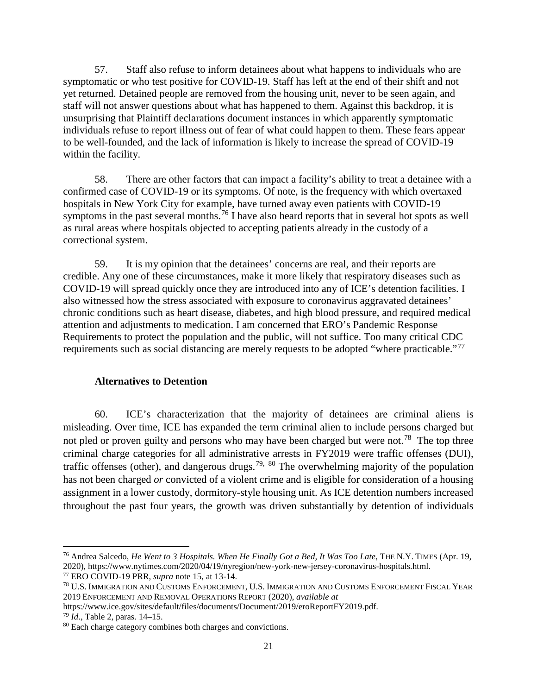57. Staff also refuse to inform detainees about what happens to individuals who are symptomatic or who test positive for COVID-19. Staff has left at the end of their shift and not yet returned. Detained people are removed from the housing unit, never to be seen again, and staff will not answer questions about what has happened to them. Against this backdrop, it is unsurprising that Plaintiff declarations document instances in which apparently symptomatic individuals refuse to report illness out of fear of what could happen to them. These fears appear to be well-founded, and the lack of information is likely to increase the spread of COVID-19 within the facility.

58. There are other factors that can impact a facility's ability to treat a detainee with a confirmed case of COVID-19 or its symptoms. Of note, is the frequency with which overtaxed hospitals in New York City for example, have turned away even patients with COVID-19 symptoms in the past several months.<sup>[76](#page-20-0)</sup> I have also heard reports that in several hot spots as well as rural areas where hospitals objected to accepting patients already in the custody of a correctional system.

59. It is my opinion that the detainees' concerns are real, and their reports are credible. Any one of these circumstances, make it more likely that respiratory diseases such as COVID-19 will spread quickly once they are introduced into any of ICE's detention facilities. I also witnessed how the stress associated with exposure to coronavirus aggravated detainees' chronic conditions such as heart disease, diabetes, and high blood pressure, and required medical attention and adjustments to medication. I am concerned that ERO's Pandemic Response Requirements to protect the population and the public, will not suffice. Too many critical CDC requirements such as social distancing are merely requests to be adopted "where practicable."<sup>[77](#page-20-1)</sup>

## **Alternatives to Detention**

60. ICE's characterization that the majority of detainees are criminal aliens is misleading. Over time, ICE has expanded the term criminal alien to include persons charged but not pled or proven guilty and persons who may have been charged but were not.<sup>[78](#page-20-2)</sup> The top three criminal charge categories for all administrative arrests in FY2019 were traffic offenses (DUI), traffic offenses (other), and dangerous drugs.<sup>[79,](#page-20-3) [80](#page-20-4)</sup> The overwhelming majority of the population has not been charged *or* convicted of a violent crime and is eligible for consideration of a housing assignment in a lower custody, dormitory-style housing unit. As ICE detention numbers increased throughout the past four years, the growth was driven substantially by detention of individuals

<span id="page-20-0"></span><sup>76</sup> Andrea Salcedo, *He Went to 3 Hospitals. When He Finally Got a Bed, It Was Too Late*, THE N.Y. TIMES (Apr. 19, 2020), https://www.nytimes.com/2020/04/19/nyregion/new-york-new-jersey-coronavirus-hospitals.html.

<span id="page-20-1"></span><sup>77</sup> ERO COVID-19 PRR, *supra* note 15, at 13-14.

<span id="page-20-2"></span><sup>78</sup> U.S. IMMIGRATION AND CUSTOMS ENFORCEMENT, U.S. IMMIGRATION AND CUSTOMS ENFORCEMENT FISCAL YEAR 2019 ENFORCEMENT AND REMOVAL OPERATIONS REPORT (2020), *available at* 

https://www.ice.gov/sites/default/files/documents/Document/2019/eroReportFY2019.pdf.

<span id="page-20-3"></span><sup>79</sup> *Id*., Table 2, paras. 14–15.

<span id="page-20-4"></span><sup>80</sup> Each charge category combines both charges and convictions.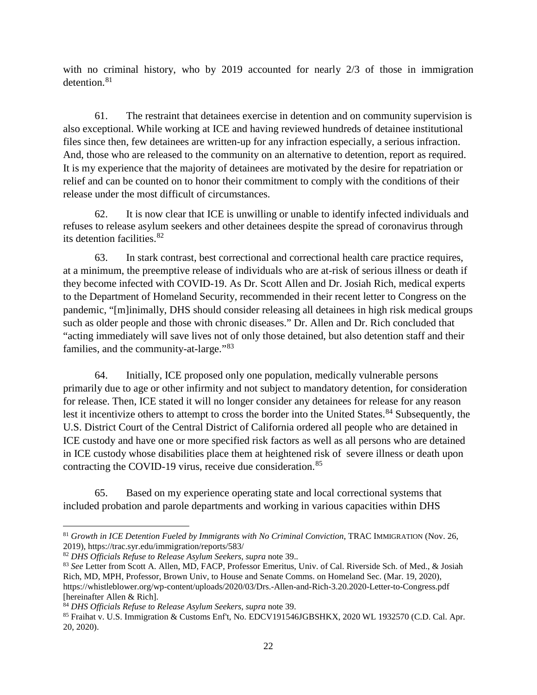with no criminal history, who by 2019 accounted for nearly 2/3 of those in immigration detention.<sup>[81](#page-21-0)</sup>

61. The restraint that detainees exercise in detention and on community supervision is also exceptional. While working at ICE and having reviewed hundreds of detainee institutional files since then, few detainees are written-up for any infraction especially, a serious infraction. And, those who are released to the community on an alternative to detention, report as required. It is my experience that the majority of detainees are motivated by the desire for repatriation or relief and can be counted on to honor their commitment to comply with the conditions of their release under the most difficult of circumstances.

62. It is now clear that ICE is unwilling or unable to identify infected individuals and refuses to release asylum seekers and other detainees despite the spread of coronavirus through its detention facilities.[82](#page-21-1) 

63. In stark contrast, best correctional and correctional health care practice requires, at a minimum, the preemptive release of individuals who are at-risk of serious illness or death if they become infected with COVID-19. As Dr. Scott Allen and Dr. Josiah Rich, medical experts to the Department of Homeland Security, recommended in their recent letter to Congress on the pandemic, "[m]inimally, DHS should consider releasing all detainees in high risk medical groups such as older people and those with chronic diseases." Dr. Allen and Dr. Rich concluded that "acting immediately will save lives not of only those detained, but also detention staff and their families, and the community-at-large."[83](#page-21-2)

64. Initially, ICE proposed only one population, medically vulnerable persons primarily due to age or other infirmity and not subject to mandatory detention, for consideration for release. Then, ICE stated it will no longer consider any detainees for release for any reason lest it incentivize others to attempt to cross the border into the United States.<sup>[84](#page-21-3)</sup> Subsequently, the U.S. District Court of the Central District of California ordered all people who are detained in ICE custody and have one or more specified risk factors as well as all persons who are detained in ICE custody whose disabilities place them at heightened risk of severe illness or death upon contracting the COVID-19 virus, receive due consideration.<sup>[85](#page-21-4)</sup>

65. Based on my experience operating state and local correctional systems that included probation and parole departments and working in various capacities within DHS

<span id="page-21-0"></span><sup>&</sup>lt;sup>81</sup> Growth in ICE Detention Fueled by Immigrants with No Criminal Conviction, TRAC IMMIGRATION (Nov. 26, 2019), https://trac.syr.edu/immigration/reports/583/

<span id="page-21-1"></span><sup>82</sup> *DHS Officials Refuse to Release Asylum Seekers*, *supra* note 39.*.*

<span id="page-21-2"></span><sup>83</sup> *See* Letter from Scott A. Allen, MD, FACP, Professor Emeritus, Univ. of Cal. Riverside Sch. of Med., & Josiah Rich, MD, MPH, Professor, Brown Univ, to House and Senate Comms. on Homeland Sec. (Mar. 19, 2020), https://whistleblower.org/wp-content/uploads/2020/03/Drs.-Allen-and-Rich-3.20.2020-Letter-to-Congress.pdf [hereinafter Allen & Rich].

<span id="page-21-3"></span><sup>84</sup> *DHS Officials Refuse to Release Asylum Seekers*, *supra* note 39.

<span id="page-21-4"></span><sup>85</sup> Fraihat v. U.S. Immigration & Customs Enf't, No. EDCV191546JGBSHKX, 2020 WL 1932570 (C.D. Cal. Apr. 20, 2020).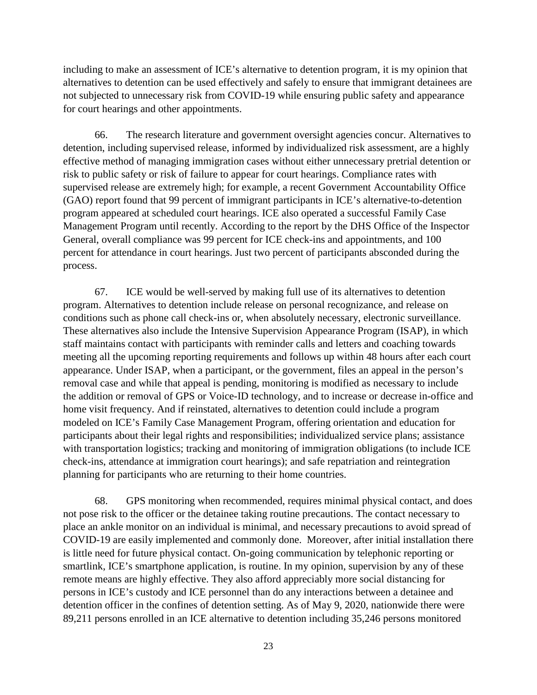including to make an assessment of ICE's alternative to detention program, it is my opinion that alternatives to detention can be used effectively and safely to ensure that immigrant detainees are not subjected to unnecessary risk from COVID-19 while ensuring public safety and appearance for court hearings and other appointments.

66. The research literature and government oversight agencies concur. Alternatives to detention, including supervised release, informed by individualized risk assessment, are a highly effective method of managing immigration cases without either unnecessary pretrial detention or risk to public safety or risk of failure to appear for court hearings. Compliance rates with supervised release are extremely high; for example, a recent Government Accountability Office (GAO) report found that 99 percent of immigrant participants in ICE's alternative-to-detention program appeared at scheduled court hearings. ICE also operated a successful Family Case Management Program until recently. According to the report by the DHS Office of the Inspector General, overall compliance was 99 percent for ICE check-ins and appointments, and 100 percent for attendance in court hearings. Just two percent of participants absconded during the process.

67. ICE would be well-served by making full use of its alternatives to detention program. Alternatives to detention include release on personal recognizance, and release on conditions such as phone call check-ins or, when absolutely necessary, electronic surveillance. These alternatives also include the Intensive Supervision Appearance Program (ISAP), in which staff maintains contact with participants with reminder calls and letters and coaching towards meeting all the upcoming reporting requirements and follows up within 48 hours after each court appearance. Under ISAP, when a participant, or the government, files an appeal in the person's removal case and while that appeal is pending, monitoring is modified as necessary to include the addition or removal of GPS or Voice-ID technology, and to increase or decrease in-office and home visit frequency. And if reinstated, alternatives to detention could include a program modeled on ICE's Family Case Management Program, offering orientation and education for participants about their legal rights and responsibilities; individualized service plans; assistance with transportation logistics; tracking and monitoring of immigration obligations (to include ICE check-ins, attendance at immigration court hearings); and safe repatriation and reintegration planning for participants who are returning to their home countries.

68. GPS monitoring when recommended, requires minimal physical contact, and does not pose risk to the officer or the detainee taking routine precautions. The contact necessary to place an ankle monitor on an individual is minimal, and necessary precautions to avoid spread of COVID-19 are easily implemented and commonly done. Moreover, after initial installation there is little need for future physical contact. On-going communication by telephonic reporting or smartlink, ICE's smartphone application, is routine. In my opinion, supervision by any of these remote means are highly effective. They also afford appreciably more social distancing for persons in ICE's custody and ICE personnel than do any interactions between a detainee and detention officer in the confines of detention setting. As of May 9, 2020, nationwide there were 89,211 persons enrolled in an ICE alternative to detention including 35,246 persons monitored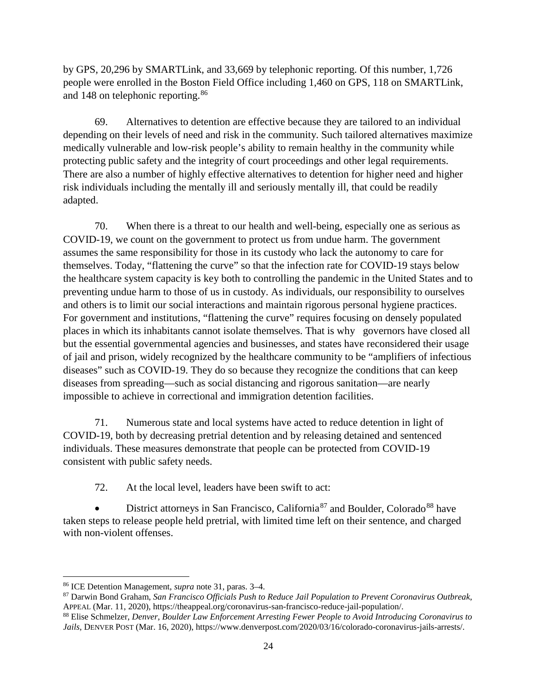by GPS, 20,296 by SMARTLink, and 33,669 by telephonic reporting. Of this number, 1,726 people were enrolled in the Boston Field Office including 1,460 on GPS, 118 on SMARTLink, and 148 on telephonic reporting.<sup>[86](#page-23-0)</sup>

69. Alternatives to detention are effective because they are tailored to an individual depending on their levels of need and risk in the community. Such tailored alternatives maximize medically vulnerable and low-risk people's ability to remain healthy in the community while protecting public safety and the integrity of court proceedings and other legal requirements. There are also a number of highly effective alternatives to detention for higher need and higher risk individuals including the mentally ill and seriously mentally ill, that could be readily adapted.

70. When there is a threat to our health and well-being, especially one as serious as COVID-19, we count on the government to protect us from undue harm. The government assumes the same responsibility for those in its custody who lack the autonomy to care for themselves. Today, "flattening the curve" so that the infection rate for COVID-19 stays below the healthcare system capacity is key both to controlling the pandemic in the United States and to preventing undue harm to those of us in custody. As individuals, our responsibility to ourselves and others is to limit our social interactions and maintain rigorous personal hygiene practices. For government and institutions, "flattening the curve" requires focusing on densely populated places in which its inhabitants cannot isolate themselves. That is why governors have closed all but the essential governmental agencies and businesses, and states have reconsidered their usage of jail and prison, widely recognized by the healthcare community to be "amplifiers of infectious diseases" such as COVID-19. They do so because they recognize the conditions that can keep diseases from spreading—such as social distancing and rigorous sanitation—are nearly impossible to achieve in correctional and immigration detention facilities.

71. Numerous state and local systems have acted to reduce detention in light of COVID-19, both by decreasing pretrial detention and by releasing detained and sentenced individuals. These measures demonstrate that people can be protected from COVID-19 consistent with public safety needs.

72. At the local level, leaders have been swift to act:

• District attorneys in San Francisco, California<sup>[87](#page-23-1)</sup> and Boulder, Colorado<sup>[88](#page-23-2)</sup> have taken steps to release people held pretrial, with limited time left on their sentence, and charged with non-violent offenses.

 $\overline{\phantom{a}}$ 

<span id="page-23-0"></span><sup>86</sup> ICE Detention Management, *supra* note 31, paras. 3–4.

<span id="page-23-1"></span><sup>87</sup> Darwin Bond Graham, *San Francisco Officials Push to Reduce Jail Population to Prevent Coronavirus Outbreak*, APPEAL (Mar. 11, 2020), https://theappeal.org/coronavirus-san-francisco-reduce-jail-population/.

<span id="page-23-2"></span><sup>88</sup> Elise Schmelzer, *Denver, Boulder Law Enforcement Arresting Fewer People to Avoid Introducing Coronavirus to Jails*, DENVER POST (Mar. 16, 2020), https://www.denverpost.com/2020/03/16/colorado-coronavirus-jails-arrests/.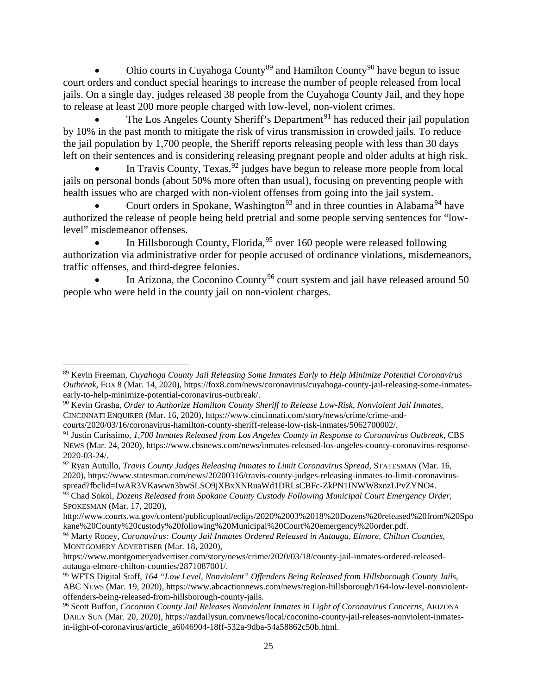Ohio courts in Cuyahoga County<sup>[89](#page-24-0)</sup> and Hamilton County<sup>[90](#page-24-1)</sup> have begun to issue court orders and conduct special hearings to increase the number of people released from local jails. On a single day, judges released 38 people from the Cuyahoga County Jail, and they hope to release at least 200 more people charged with low-level, non-violent crimes.

The Los Angeles County Sheriff's Department<sup>[91](#page-24-2)</sup> has reduced their jail population by 10% in the past month to mitigate the risk of virus transmission in crowded jails. To reduce the jail population by 1,700 people, the Sheriff reports releasing people with less than 30 days left on their sentences and is considering releasing pregnant people and older adults at high risk.

In Travis County,  $T$ exas,  $92$  judges have begun to release more people from local jails on personal bonds (about 50% more often than usual), focusing on preventing people with health issues who are charged with non-violent offenses from going into the jail system.

• Court orders in Spokane, Washington<sup>[93](#page-24-4)</sup> and in three counties in Alabama<sup>[94](#page-24-5)</sup> have authorized the release of people being held pretrial and some people serving sentences for "lowlevel" misdemeanor offenses.

• In Hillsborough County, Florida,  $95$  over 160 people were released following authorization via administrative order for people accused of ordinance violations, misdemeanors, traffic offenses, and third-degree felonies.

In Arizona, the Coconino County<sup>[96](#page-24-7)</sup> court system and jail have released around 50 people who were held in the county jail on non-violent charges.

 $\overline{\phantom{a}}$ 

<span id="page-24-0"></span><sup>89</sup> Kevin Freeman, *Cuyahoga County Jail Releasing Some Inmates Early to Help Minimize Potential Coronavirus Outbreak*, FOX 8 (Mar. 14, 2020), https://fox8.com/news/coronavirus/cuyahoga-county-jail-releasing-some-inmatesearly-to-help-minimize-potential-coronavirus-outbreak/.

<span id="page-24-1"></span><sup>90</sup> Kevin Grasha, *Order to Authorize Hamilton County Sheriff to Release Low-Risk, Nonviolent Jail Inmates*, CINCINNATI ENQUIRER (Mar. 16, 2020), https://www.cincinnati.com/story/news/crime/crime-and-

courts/2020/03/16/coronavirus-hamilton-county-sheriff-release-low-risk-inmates/5062700002/.

<span id="page-24-2"></span><sup>91</sup> Justin Carissimo, *1,700 Inmates Released from Los Angeles County in Response to Coronavirus Outbreak*, CBS NEWS (Mar. 24, 2020), https://www.cbsnews.com/news/inmates-released-los-angeles-county-coronavirus-response-2020-03-24/.

<span id="page-24-3"></span><sup>92</sup> Ryan Autullo, *Travis County Judges Releasing Inmates to Limit Coronavirus Spread*, STATESMAN (Mar. 16, 2020), https://www.statesman.com/news/20200316/travis-county-judges-releasing-inmates-to-limit-coronavirusspread?fbclid=IwAR3VKawwn3bwSLSO9jXBxXNRuaWd1DRLsCBFc-ZkPN1INWW8xnzLPvZYNO4.

<span id="page-24-4"></span><sup>93</sup> Chad Sokol, *Dozens Released from Spokane County Custody Following Municipal Court Emergency Order*, SPOKESMAN (Mar. 17, 2020),

http://www.courts.wa.gov/content/publicupload/eclips/2020%2003%2018%20Dozens%20released%20from%20Spo kane%20County%20custody%20following%20Municipal%20Court%20emergency%20order.pdf.

<span id="page-24-5"></span><sup>94</sup> Marty Roney, *Coronavirus: County Jail Inmates Ordered Released in Autauga, Elmore, Chilton Counties,*  MONTGOMERY ADVERTISER (Mar. 18, 2020),

https://www.montgomeryadvertiser.com/story/news/crime/2020/03/18/county-jail-inmates-ordered-releasedautauga-elmore-chilton-counties/2871087001/.

<span id="page-24-6"></span><sup>95</sup> WFTS Digital Staff, *164 "Low Level, Nonviolent" Offenders Being Released from Hillsborough County Jails*, ABC NEWS (Mar. 19, 2020), https://www.abcactionnews.com/news/region-hillsborough/164-low-level-nonviolentoffenders-being-released-from-hillsborough-county-jails. 96 Scott Buffon, *Coconino County Jail Releases Nonviolent Inmates in Light of Coronavirus Concerns*, ARIZONA

<span id="page-24-7"></span>DAILY SUN (Mar. 20, 2020), https://azdailysun.com/news/local/coconino-county-jail-releases-nonviolent-inmatesin-light-of-coronavirus/article\_a6046904-18ff-532a-9dba-54a58862c50b.html.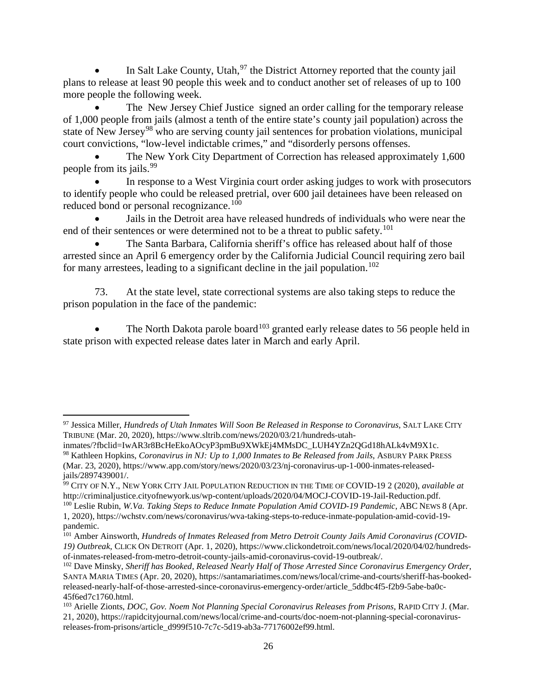In Salt Lake County, Utah,  $97$  the District Attorney reported that the county jail plans to release at least 90 people this week and to conduct another set of releases of up to 100 more people the following week.

The New Jersey Chief Justice signed an order calling for the temporary release of 1,000 people from jails (almost a tenth of the entire state's county jail population) across the state of New Jersey<sup>[98](#page-25-1)</sup> who are serving county jail sentences for probation violations, municipal court convictions, "low-level indictable crimes," and "disorderly persons offenses.

The New York City Department of Correction has released approximately 1,600 people from its jails.<sup>[99](#page-25-2)</sup>

In response to a West Virginia court order asking judges to work with prosecutors to identify people who could be released pretrial, over 600 jail detainees have been released on reduced bond or personal recognizance.<sup>[100](#page-25-3)</sup>

• Jails in the Detroit area have released hundreds of individuals who were near the end of their sentences or were determined not to be a threat to public safety.<sup>[101](#page-25-4)</sup>

• The Santa Barbara, California sheriff's office has released about half of those arrested since an April 6 emergency order by the California Judicial Council requiring zero bail for many arrestees, leading to a significant decline in the jail population.<sup>[102](#page-25-5)</sup>

73. At the state level, state correctional systems are also taking steps to reduce the prison population in the face of the pandemic:

The North Dakota parole board<sup>[103](#page-25-6)</sup> granted early release dates to 56 people held in state prison with expected release dates later in March and early April.

<span id="page-25-3"></span><sup>100</sup> Leslie Rubin, *W.Va. Taking Steps to Reduce Inmate Population Amid COVID-19 Pandemic*, ABC NEWS 8 (Apr. 1, 2020), https://wchstv.com/news/coronavirus/wva-taking-steps-to-reduce-inmate-population-amid-covid-19 pandemic.

<span id="page-25-0"></span>l <sup>97</sup> Jessica Miller, *Hundreds of Utah Inmates Will Soon Be Released in Response to Coronavirus*, SALT LAKE CITY TRIBUNE (Mar. 20, 2020), https://www.sltrib.com/news/2020/03/21/hundreds-utah-

<span id="page-25-1"></span>inmates/?fbclid=IwAR3r8BcHeEkoAOcyP3pmBu9XWkEj4MMsDC\_LUH4YZn2QGd18hALk4vM9X1c. <sup>98</sup> Kathleen Hopkins, *Coronavirus in NJ: Up to 1,000 Inmates to Be Released from Jails*, ASBURY PARK PRESS (Mar. 23, 2020), https://www.app.com/story/news/2020/03/23/nj-coronavirus-up-1-000-inmates-releasedjails/2897439001/.

<span id="page-25-2"></span><sup>99</sup> CITY OF N.Y., NEW YORK CITY JAIL POPULATION REDUCTION IN THE TIME OF COVID-19 2 (2020), *available at* http://criminaljustice.cityofnewyork.us/wp-content/uploads/2020/04/MOCJ-COVID-19-Jail-Reduction.pdf.

<span id="page-25-4"></span><sup>101</sup> Amber Ainsworth, *Hundreds of Inmates Released from Metro Detroit County Jails Amid Coronavirus (COVID-19) Outbreak*, CLICK ON DETROIT (Apr. 1, 2020), https://www.clickondetroit.com/news/local/2020/04/02/hundredsof-inmates-released-from-metro-detroit-county-jails-amid-coronavirus-covid-19-outbreak/.

<span id="page-25-5"></span><sup>102</sup> Dave Minsky, *Sheriff has Booked, Released Nearly Half of Those Arrested Since Coronavirus Emergency Order*, SANTA MARIA TIMES (Apr. 20, 2020), https://santamariatimes.com/news/local/crime-and-courts/sheriff-has-bookedreleased-nearly-half-of-those-arrested-since-coronavirus-emergency-order/article\_5ddbc4f5-f2b9-5abe-ba0c-45f6ed7c1760.html.

<span id="page-25-6"></span><sup>103</sup> Arielle Zionts, *DOC, Gov. Noem Not Planning Special Coronavirus Releases from Prisons*, RAPID CITY J. (Mar. 21, 2020), https://rapidcityjournal.com/news/local/crime-and-courts/doc-noem-not-planning-special-coronavirusreleases-from-prisons/article\_d999f510-7c7c-5d19-ab3a-77176002ef99.html.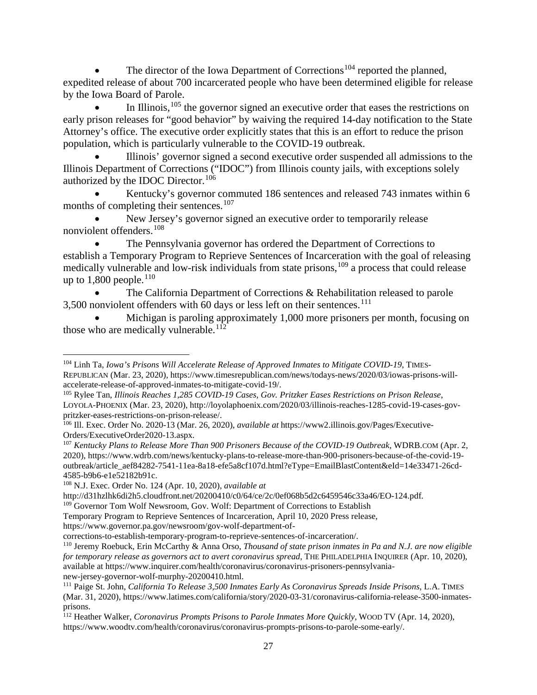The director of the Iowa Department of Corrections<sup>[104](#page-26-0)</sup> reported the planned, expedited release of about 700 incarcerated people who have been determined eligible for release by the Iowa Board of Parole.

In Illinois,  $105$  the governor signed an executive order that eases the restrictions on early prison releases for "good behavior" by waiving the required 14-day notification to the State Attorney's office. The executive order explicitly states that this is an effort to reduce the prison population, which is particularly vulnerable to the COVID-19 outbreak.

• Illinois' governor signed a second executive order suspended all admissions to the Illinois Department of Corrections ("IDOC") from Illinois county jails, with exceptions solely authorized by the IDOC Director.[106](#page-26-2)

• Kentucky's governor commuted 186 sentences and released 743 inmates within 6 months of completing their sentences.<sup>[107](#page-26-3)</sup>

New Jersey's governor signed an executive order to temporarily release nonviolent offenders.[108](#page-26-4)

• The Pennsylvania governor has ordered the Department of Corrections to establish a Temporary Program to Reprieve Sentences of Incarceration with the goal of releasing medically vulnerable and low-risk individuals from state prisons,<sup>[109](#page-26-5)</sup> a process that could release up to  $1,800$  people.<sup>[110](#page-26-6)</sup>

The California Department of Corrections & Rehabilitation released to parole  $3,500$  nonviolent offenders with 60 days or less left on their sentences.<sup>[111](#page-26-7)</sup>

• Michigan is paroling approximately 1,000 more prisoners per month, focusing on those who are medically vulnerable. $112$ 

l

<span id="page-26-5"></span><sup>109</sup> Governor Tom Wolf Newsroom, Gov. Wolf: Department of Corrections to Establish

<span id="page-26-0"></span><sup>104</sup> Linh Ta, *Iowa's Prisons Will Accelerate Release of Approved Inmates to Mitigate COVID-19*, TIMES-REPUBLICAN (Mar. 23, 2020), https://www.timesrepublican.com/news/todays-news/2020/03/iowas-prisons-willaccelerate-release-of-approved-inmates-to-mitigate-covid-19/.

<span id="page-26-1"></span><sup>105</sup> Rylee Tan, *Illinois Reaches 1,285 COVID-19 Cases, Gov. Pritzker Eases Restrictions on Prison Release*, LOYOLA-PHOENIX (Mar. 23, 2020), http://loyolaphoenix.com/2020/03/illinois-reaches-1285-covid-19-cases-govpritzker-eases-restrictions-on-prison-release/.

<span id="page-26-2"></span><sup>106</sup> Ill. Exec. Order No. 2020-13 (Mar. 26, 2020), *available at* https://www2.illinois.gov/Pages/Executive-Orders/ExecutiveOrder2020-13.aspx.

<span id="page-26-3"></span><sup>107</sup> *Kentucky Plans to Release More Than 900 Prisoners Because of the COVID-19 Outbreak*, WDRB.COM (Apr. 2, 2020), https://www.wdrb.com/news/kentucky-plans-to-release-more-than-900-prisoners-because-of-the-covid-19 outbreak/article\_aef84282-7541-11ea-8a18-efe5a8cf107d.html?eType=EmailBlastContent&eId=14e33471-26cd-4585-b9b6-e1e52182b91c.

<span id="page-26-4"></span><sup>108</sup> N.J. Exec. Order No. 124 (Apr. 10, 2020), *available at*

http://d31hzlhk6di2h5.cloudfront.net/20200410/c0/64/ce/2c/0ef068b5d2c6459546c33a46/EO-124.pdf.

Temporary Program to Reprieve Sentences of Incarceration, April 10, 2020 Press release,

https://www.governor.pa.gov/newsroom/gov-wolf-department-of-

corrections-to-establish-temporary-program-to-reprieve-sentences-of-incarceration/.

<span id="page-26-6"></span><sup>110</sup> Jeremy Roebuck, Erin McCarthy & Anna Orso, *Thousand of state prison inmates in Pa and N.J. are now eligible for temporary release as governors act to avert coronavirus spread*, THE PHILADELPHIA INQUIRER (Apr. 10, 2020), available at https://www.inquirer.com/health/coronavirus/coronavirus-prisoners-pennsylvanianew-jersey-governor-wolf-murphy-20200410.html.

<span id="page-26-7"></span><sup>111</sup> Paige St. John, *California To Release 3,500 Inmates Early As Coronavirus Spreads Inside Prisons*, L.A. TIMES (Mar. 31, 2020), https://www.latimes.com/california/story/2020-03-31/coronavirus-california-release-3500-inmatesprisons.

<span id="page-26-8"></span><sup>&</sup>lt;sup>112</sup> Heather Walker, *Coronavirus Prompts Prisons to Parole Inmates More Quickly*, WOOD TV (Apr. 14, 2020), https://www.woodtv.com/health/coronavirus/coronavirus-prompts-prisons-to-parole-some-early/.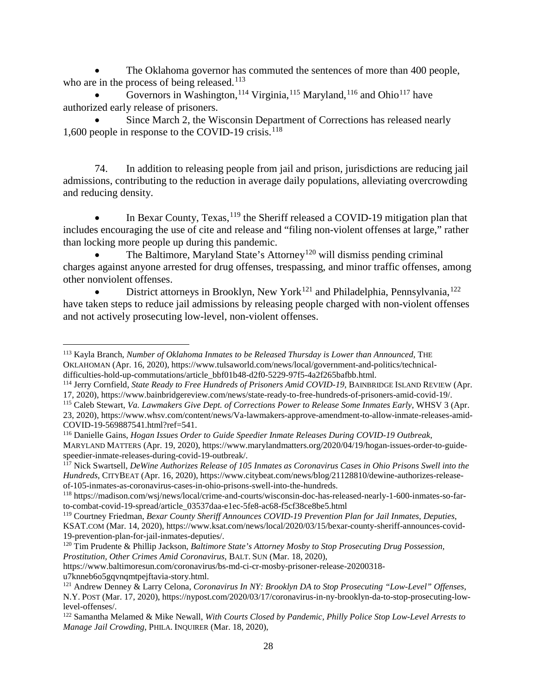The Oklahoma governor has commuted the sentences of more than 400 people, who are in the process of being released. $113$ 

Governors in Washington,<sup>[114](#page-27-1)</sup> Virginia,<sup>[115](#page-27-2)</sup> Maryland,<sup>[116](#page-27-3)</sup> and Ohio<sup>[117](#page-27-4)</sup> have authorized early release of prisoners.

Since March 2, the Wisconsin Department of Corrections has released nearly 1,600 people in response to the COVID-19 crisis.<sup>[118](#page-27-5)</sup>

74. In addition to releasing people from jail and prison, jurisdictions are reducing jail admissions, contributing to the reduction in average daily populations, alleviating overcrowding and reducing density.

In Bexar County, Texas, <sup>[119](#page-27-6)</sup> the Sheriff released a COVID-19 mitigation plan that includes encouraging the use of cite and release and "filing non-violent offenses at large," rather than locking more people up during this pandemic.

The Baltimore, Maryland State's Attorney<sup>[120](#page-27-7)</sup> will dismiss pending criminal charges against anyone arrested for drug offenses, trespassing, and minor traffic offenses, among other nonviolent offenses.

District attorneys in Brooklyn, New York<sup>[121](#page-27-8)</sup> and Philadelphia, Pennsylvania,  $122$ have taken steps to reduce jail admissions by releasing people charged with non-violent offenses and not actively prosecuting low-level, non-violent offenses.

https://www.baltimoresun.com/coronavirus/bs-md-ci-cr-mosby-prisoner-release-20200318-<br>u7knneb6o5gqvnqmtpejftavia-story.html.

<span id="page-27-0"></span>l <sup>113</sup> Kayla Branch, *Number of Oklahoma Inmates to be Released Thursday is Lower than Announced*, THE OKLAHOMAN (Apr. 16, 2020), https://www.tulsaworld.com/news/local/government-and-politics/technicaldifficulties-hold-up-commutations/article\_bbf01b48-d2f0-5229-97f5-4a2f265bafbb.html.

<span id="page-27-1"></span><sup>&</sup>lt;sup>114</sup> Jerry Cornfield, *State Ready to Free Hundreds of Prisoners Amid COVID-19*, BAINBRIDGE ISLAND REVIEW (Apr. 17, 2020), https://www.bainbridgereview.com/news/state-ready-to-free-hundreds-of-prisoners-amid-covid-19/.

<span id="page-27-2"></span><sup>115</sup> Caleb Stewart, *Va. Lawmakers Give Dept. of Corrections Power to Release Some Inmates Early*, WHSV 3 (Apr. 23, 2020), https://www.whsv.com/content/news/Va-lawmakers-approve-amendment-to-allow-inmate-releases-amid-

<span id="page-27-3"></span><sup>&</sup>lt;sup>116</sup> Danielle Gains, *Hogan Issues Order to Guide Speedier Inmate Releases During COVID-19 Outbreak*, MARYLAND MATTERS (Apr. 19, 2020), https://www.marylandmatters.org/2020/04/19/hogan-issues-order-to-guidespeedier-inmate-releases-during-covid-19-outbreak/.

<span id="page-27-4"></span><sup>117</sup> Nick Swartsell, *DeWine Authorizes Release of 105 Inmates as Coronavirus Cases in Ohio Prisons Swell into the Hundreds*, CITYBEAT (Apr. 16, 2020), https://www.citybeat.com/news/blog/21128810/dewine-authorizes-releaseof-105-inmates-as-coronavirus-cases-in-ohio-prisons-swell-into-the-hundreds.

<span id="page-27-5"></span><sup>118</sup> https://madison.com/wsj/news/local/crime-and-courts/wisconsin-doc-has-released-nearly-1-600-inmates-so-farto-combat-covid-19-spread/article\_03537daa-e1ec-5fe8-ac68-f5cf38ce8be5.html

<span id="page-27-6"></span><sup>119</sup> Courtney Friedman, *Bexar County Sheriff Announces COVID-19 Prevention Plan for Jail Inmates, Deputies*, KSAT.COM (Mar. 14, 2020), https://www.ksat.com/news/local/2020/03/15/bexar-county-sheriff-announces-covid-19-prevention-plan-for-jail-inmates-deputies/.

<span id="page-27-7"></span><sup>120</sup> Tim Prudente & Phillip Jackson, *Baltimore State's Attorney Mosby to Stop Prosecuting Drug Possession, Prostitution, Other Crimes Amid Coronavirus*, BALT. SUN (Mar. 18, 2020),

<span id="page-27-8"></span><sup>&</sup>lt;sup>121</sup> Andrew Denney & Larry Celona, *Coronavirus In NY: Brooklyn DA to Stop Prosecuting "Low-Level" Offenses*, N.Y. POST (Mar. 17, 2020), https://nypost.com/2020/03/17/coronavirus-in-ny-brooklyn-da-to-stop-prosecuting-lowlevel-offenses/.

<span id="page-27-9"></span><sup>122</sup> Samantha Melamed & Mike Newall, *With Courts Closed by Pandemic, Philly Police Stop Low-Level Arrests to Manage Jail Crowding*, PHILA. INQUIRER (Mar. 18, 2020),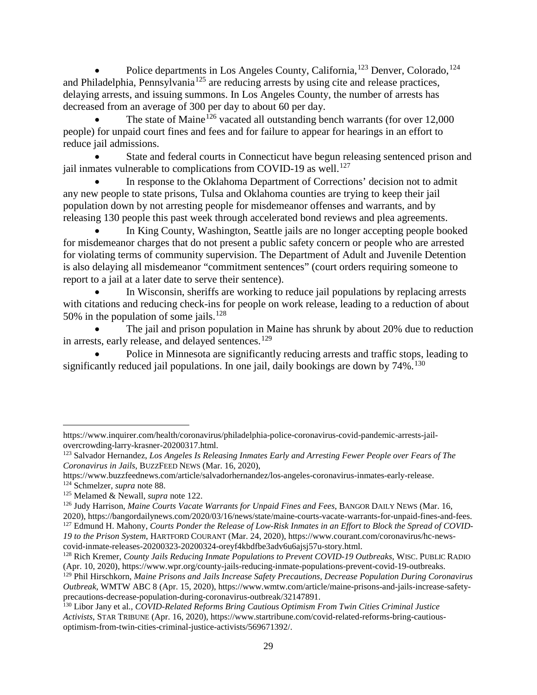Police departments in Los Angeles County, California,<sup>[123](#page-28-0)</sup> Denver, Colorado,<sup>[124](#page-28-1)</sup> and Philadelphia, Pennsylvania<sup>[125](#page-28-2)</sup> are reducing arrests by using cite and release practices, delaying arrests, and issuing summons. In Los Angeles County, the number of arrests has decreased from an average of 300 per day to about 60 per day.

The state of Maine<sup>[126](#page-28-3)</sup> vacated all outstanding bench warrants (for over  $12,000$ ) people) for unpaid court fines and fees and for failure to appear for hearings in an effort to reduce jail admissions.

State and federal courts in Connecticut have begun releasing sentenced prison and jail inmates vulnerable to complications from COVID-19 as well.<sup>[127](#page-28-4)</sup>

• In response to the Oklahoma Department of Corrections' decision not to admit any new people to state prisons, Tulsa and Oklahoma counties are trying to keep their jail population down by not arresting people for misdemeanor offenses and warrants, and by releasing 130 people this past week through accelerated bond reviews and plea agreements.

In King County, Washington, Seattle jails are no longer accepting people booked for misdemeanor charges that do not present a public safety concern or people who are arrested for violating terms of community supervision. The Department of Adult and Juvenile Detention is also delaying all misdemeanor "commitment sentences" (court orders requiring someone to report to a jail at a later date to serve their sentence).

In Wisconsin, sheriffs are working to reduce jail populations by replacing arrests with citations and reducing check-ins for people on work release, leading to a reduction of about 50% in the population of some jails.<sup>[128](#page-28-5)</sup>

The jail and prison population in Maine has shrunk by about 20% due to reduction in arrests, early release, and delayed sentences.<sup>[129](#page-28-6)</sup>

• Police in Minnesota are significantly reducing arrests and traffic stops, leading to significantly reduced jail populations. In one jail, daily bookings are down by 74%.<sup>[130](#page-28-7)</sup>

https://www.inquirer.com/health/coronavirus/philadelphia-police-coronavirus-covid-pandemic-arrests-jailovercrowding-larry-krasner-20200317.html.

<span id="page-28-0"></span><sup>123</sup> Salvador Hernandez, *Los Angeles Is Releasing Inmates Early and Arresting Fewer People over Fears of The Coronavirus in Jails*, BUZZFEED NEWS (Mar. 16, 2020),

<span id="page-28-1"></span>https://www.buzzfeednews.com/article/salvadorhernandez/los-angeles-coronavirus-inmates-early-release. <sup>124</sup> Schmelzer, *supra* note 88.<br><sup>125</sup> Melamed & Newall, *supra* note 122.

<span id="page-28-3"></span><span id="page-28-2"></span><sup>&</sup>lt;sup>126</sup> Judy Harrison, *Maine Courts Vacate Warrants for Unpaid Fines and Fees*, BANGOR DAILY NEWS (Mar. 16, 2020), https://bangordailynews.com/2020/03/16/news/state/maine-courts-vacate-warrants-for-unpaid-fines-and-fees. <sup>127</sup> Edmund H. Mahony, *Courts Ponder the Release of Low-Risk Inmates in an Effort to Block the Spread of COVID-*

<span id="page-28-4"></span>*<sup>19</sup> to the Prison System*, HARTFORD COURANT (Mar. 24, 2020), https://www.courant.com/coronavirus/hc-newscovid-inmate-releases-20200323-20200324-oreyf4kbdfbe3adv6u6ajsj57u-story.html.

<span id="page-28-5"></span><sup>128</sup> Rich Kremer, *County Jails Reducing Inmate Populations to Prevent COVID-19 Outbreaks*, WISC. PUBLIC RADIO (Apr. 10, 2020), https://www.wpr.org/county-jails-reducing-inmate-populations-prevent-covid-19-outbreaks.

<span id="page-28-6"></span><sup>129</sup> Phil Hirschkorn, *Maine Prisons and Jails Increase Safety Precautions, Decrease Population During Coronavirus Outbreak*, WMTW ABC 8 (Apr. 15, 2020), https://www.wmtw.com/article/maine-prisons-and-jails-increase-safetyprecautions-decrease-population-during-coronavirus-outbreak/32147891.

<span id="page-28-7"></span><sup>130</sup> Libor Jany et al., *COVID-Related Reforms Bring Cautious Optimism From Twin Cities Criminal Justice Activists*, STAR TRIBUNE (Apr. 16, 2020), https://www.startribune.com/covid-related-reforms-bring-cautiousoptimism-from-twin-cities-criminal-justice-activists/569671392/.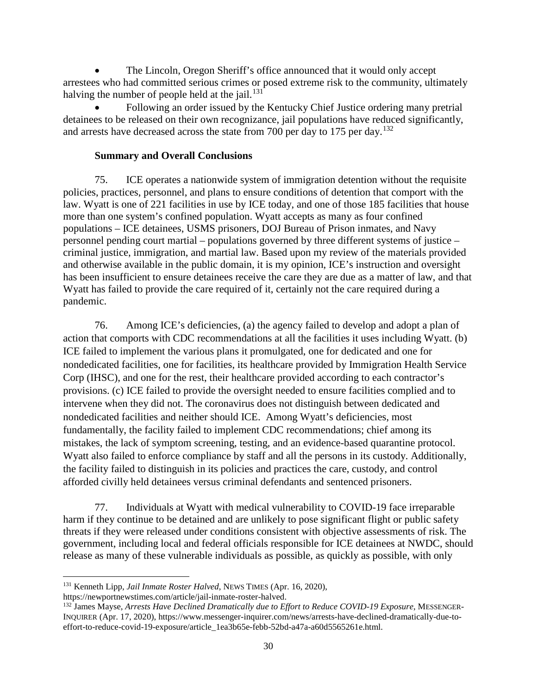The Lincoln, Oregon Sheriff's office announced that it would only accept arrestees who had committed serious crimes or posed extreme risk to the community, ultimately halving the number of people held at the jail. $131$ 

• Following an order issued by the Kentucky Chief Justice ordering many pretrial detainees to be released on their own recognizance, jail populations have reduced significantly, and arrests have decreased across the state from 700 per day to 175 per day.<sup>[132](#page-29-1)</sup>

## **Summary and Overall Conclusions**

75. ICE operates a nationwide system of immigration detention without the requisite policies, practices, personnel, and plans to ensure conditions of detention that comport with the law. Wyatt is one of 221 facilities in use by ICE today, and one of those 185 facilities that house more than one system's confined population. Wyatt accepts as many as four confined populations – ICE detainees, USMS prisoners, DOJ Bureau of Prison inmates, and Navy personnel pending court martial – populations governed by three different systems of justice – criminal justice, immigration, and martial law. Based upon my review of the materials provided and otherwise available in the public domain, it is my opinion, ICE's instruction and oversight has been insufficient to ensure detainees receive the care they are due as a matter of law, and that Wyatt has failed to provide the care required of it, certainly not the care required during a pandemic.

76. Among ICE's deficiencies, (a) the agency failed to develop and adopt a plan of action that comports with CDC recommendations at all the facilities it uses including Wyatt. (b) ICE failed to implement the various plans it promulgated, one for dedicated and one for nondedicated facilities, one for facilities, its healthcare provided by Immigration Health Service Corp (IHSC), and one for the rest, their healthcare provided according to each contractor's provisions. (c) ICE failed to provide the oversight needed to ensure facilities complied and to intervene when they did not. The coronavirus does not distinguish between dedicated and nondedicated facilities and neither should ICE. Among Wyatt's deficiencies, most fundamentally, the facility failed to implement CDC recommendations; chief among its mistakes, the lack of symptom screening, testing, and an evidence-based quarantine protocol. Wyatt also failed to enforce compliance by staff and all the persons in its custody. Additionally, the facility failed to distinguish in its policies and practices the care, custody, and control afforded civilly held detainees versus criminal defendants and sentenced prisoners.

77. Individuals at Wyatt with medical vulnerability to COVID-19 face irreparable harm if they continue to be detained and are unlikely to pose significant flight or public safety threats if they were released under conditions consistent with objective assessments of risk. The government, including local and federal officials responsible for ICE detainees at NWDC, should release as many of these vulnerable individuals as possible, as quickly as possible, with only

https://newportnewstimes.com/article/jail-inmate-roster-halved.

 $\overline{\phantom{a}}$ 

<span id="page-29-0"></span><sup>131</sup> Kenneth Lipp, *Jail Inmate Roster Halved*, NEWS TIMES (Apr. 16, 2020),

<span id="page-29-1"></span><sup>132</sup> James Mayse, *Arrests Have Declined Dramatically due to Effort to Reduce COVID-19 Exposure*, MESSENGER-INQUIRER (Apr. 17, 2020), https://www.messenger-inquirer.com/news/arrests-have-declined-dramatically-due-toeffort-to-reduce-covid-19-exposure/article\_1ea3b65e-febb-52bd-a47a-a60d5565261e.html.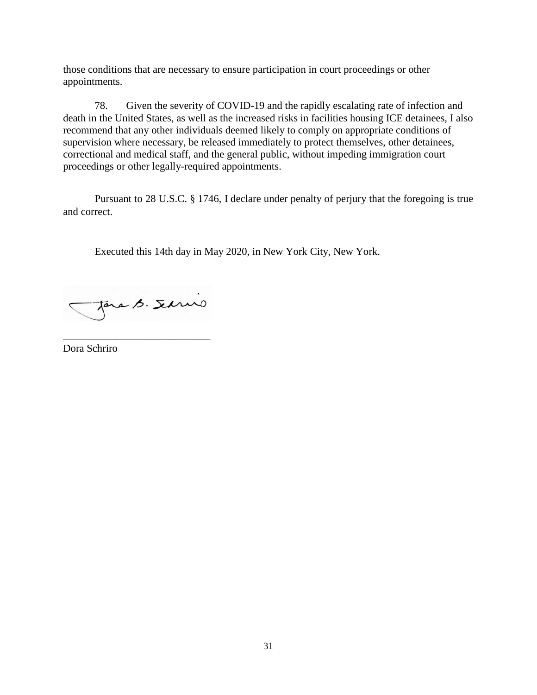those conditions that are necessary to ensure participation in court proceedings or other appointments.

78. Given the severity of COVID-19 and the rapidly escalating rate of infection and death in the United States, as well as the increased risks in facilities housing ICE detainees, I also recommend that any other individuals deemed likely to comply on appropriate conditions of supervision where necessary, be released immediately to protect themselves, other detainees, correctional and medical staff, and the general public, without impeding immigration court proceedings or other legally-required appointments.

Pursuant to 28 U.S.C. § 1746, I declare under penalty of perjury that the foregoing is true and correct.

Executed this 14th day in May 2020, in New York City, New York.

Jara B. Servio

\_\_\_\_\_\_\_\_\_\_\_\_\_\_\_\_\_\_\_\_\_\_\_\_\_\_\_\_

Dora Schriro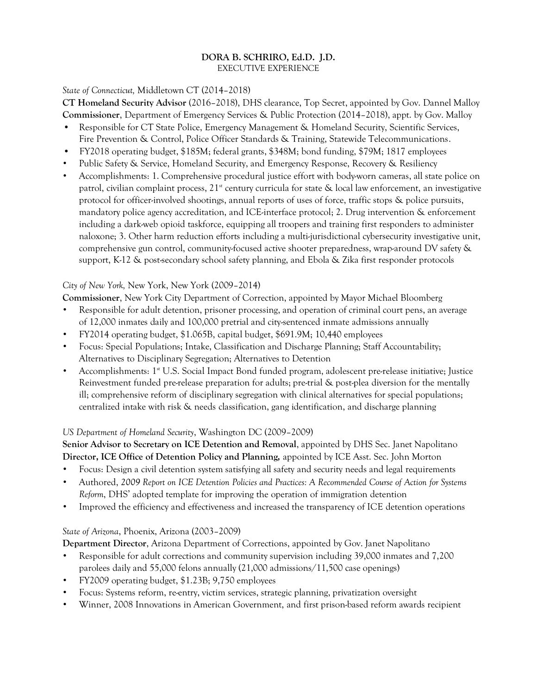#### **DORA B. SCHRIRO, Ed.D. J.D.**  EXECUTIVE EXPERIENCE

#### *State of Connecticut,* Middletown CT (2014–2018)

**CT Homeland Security Advisor** (2016–2018), DHS clearance, Top Secret, appointed by Gov. Dannel Malloy **Commissioner**, Department of Emergency Services & Public Protection (2014–2018), appt. by Gov. Malloy

- Responsible for CT State Police, Emergency Management & Homeland Security, Scientific Services, Fire Prevention & Control, Police Officer Standards & Training, Statewide Telecommunications.
- FY2018 operating budget, \$185M; federal grants, \$348M; bond funding, \$79M; 1817 employees
- Public Safety & Service, Homeland Security, and Emergency Response, Recovery & Resiliency
- Accomplishments: 1. Comprehensive procedural justice effort with body-worn cameras, all state police on patrol, civilian complaint process,  $21^{\text{st}}$  century curricula for state & local law enforcement, an investigative protocol for officer-involved shootings, annual reports of uses of force, traffic stops & police pursuits, mandatory police agency accreditation, and ICE-interface protocol; 2. Drug intervention & enforcement including a dark-web opioid taskforce, equipping all troopers and training first responders to administer naloxone; 3. Other harm reduction efforts including a multi-jurisdictional cybersecurity investigative unit, comprehensive gun control, community-focused active shooter preparedness, wrap-around DV safety & support, K-12 & post-secondary school safety planning, and Ebola & Zika first responder protocols

#### *City of New York,* New York, New York (2009–2014)

**Commissioner**, New York City Department of Correction, appointed by Mayor Michael Bloomberg

- Responsible for adult detention, prisoner processing, and operation of criminal court pens, an average of 12,000 inmates daily and 100,000 pretrial and city-sentenced inmate admissions annually
- FY2014 operating budget, \$1.065B, capital budget, \$691.9M; 10,440 employees
- Focus: Special Populations; Intake, Classification and Discharge Planning; Staff Accountability; Alternatives to Disciplinary Segregation; Alternatives to Detention
- Accomplishments: 1<sup>st</sup> U.S. Social Impact Bond funded program, adolescent pre-release initiative; Justice Reinvestment funded pre-release preparation for adults; pre-trial & post-plea diversion for the mentally ill; comprehensive reform of disciplinary segregation with clinical alternatives for special populations; centralized intake with risk & needs classification, gang identification, and discharge planning

## *US Department of Homeland Security*, Washington DC (2009–2009)

**Senior Advisor to Secretary on ICE Detention and Removal**, appointed by DHS Sec. Janet Napolitano **Director, ICE Office of Detention Policy and Planning,** appointed by ICE Asst. Sec. John Morton

- Focus: Design a civil detention system satisfying all safety and security needs and legal requirements
- Authored, *2009 Report on ICE Detention Policies and Practices: A Recommended Course of Action for Systems Reform*, DHS' adopted template for improving the operation of immigration detention
- Improved the efficiency and effectiveness and increased the transparency of ICE detention operations

## *State of Arizona*, Phoenix, Arizona (2003–2009)

**Department Director**, Arizona Department of Corrections, appointed by Gov. Janet Napolitano

- Responsible for adult corrections and community supervision including 39,000 inmates and 7,200 parolees daily and 55,000 felons annually (21,000 admissions/11,500 case openings)
- FY2009 operating budget, \$1.23B; 9,750 employees
- Focus: Systems reform, re-entry, victim services, strategic planning, privatization oversight
- Winner, 2008 Innovations in American Government, and first prison-based reform awards recipient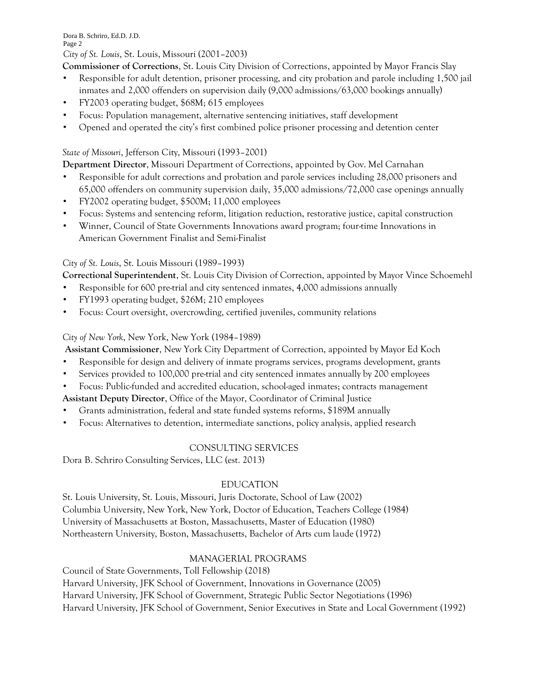Dora B. Schriro, Ed.D. J.D. Page 2 *City of St. Louis*, St. Louis, Missouri (2001–2003)

**Commissioner of Corrections**, St. Louis City Division of Corrections, appointed by Mayor Francis Slay

- Responsible for adult detention, prisoner processing, and city probation and parole including 1,500 jail inmates and 2,000 offenders on supervision daily (9,000 admissions/63,000 bookings annually)
- FY2003 operating budget, \$68M; 615 employees
- Focus: Population management, alternative sentencing initiatives, staff development
- Opened and operated the city's first combined police prisoner processing and detention center

## *State of Missouri*, Jefferson City, Missouri (1993–2001)

**Department Director**, Missouri Department of Corrections, appointed by Gov. Mel Carnahan

- Responsible for adult corrections and probation and parole services including 28,000 prisoners and 65,000 offenders on community supervision daily, 35,000 admissions/72,000 case openings annually
- FY2002 operating budget, \$500M; 11,000 employees
- Focus: Systems and sentencing reform, litigation reduction, restorative justice, capital construction
- Winner, Council of State Governments Innovations award program; four-time Innovations in American Government Finalist and Semi-Finalist

## *City of St. Louis*, St. Louis Missouri (1989–1993)

**Correctional Superintendent**, St. Louis City Division of Correction, appointed by Mayor Vince Schoemehl

- Responsible for 600 pre-trial and city sentenced inmates, 4,000 admissions annually
- FY1993 operating budget, \$26M; 210 employees
- Focus: Court oversight, overcrowding, certified juveniles, community relations

## *City of New York*, New York, New York (1984–1989)

**Assistant Commissioner**, New York City Department of Correction, appointed by Mayor Ed Koch

- Responsible for design and delivery of inmate programs services, programs development, grants
- Services provided to 100,000 pre-trial and city sentenced inmates annually by 200 employees
- Focus: Public-funded and accredited education, school-aged inmates; contracts management

**Assistant Deputy Director**, Office of the Mayor, Coordinator of Criminal Justice

- Grants administration, federal and state funded systems reforms, \$189M annually
- Focus: Alternatives to detention, intermediate sanctions, policy analysis, applied research

# CONSULTING SERVICES

Dora B. Schriro Consulting Services, LLC (est. 2013)

# EDUCATION

St. Louis University, St. Louis, Missouri, Juris Doctorate, School of Law (2002) Columbia University, New York, New York, Doctor of Education, Teachers College (1984) University of Massachusetts at Boston, Massachusetts, Master of Education (1980) Northeastern University, Boston, Massachusetts, Bachelor of Arts cum laude (1972)

# MANAGERIAL PROGRAMS

Council of State Governments, Toll Fellowship (2018) Harvard University, JFK School of Government, Innovations in Governance (2005) Harvard University, JFK School of Government, Strategic Public Sector Negotiations (1996) Harvard University, JFK School of Government, Senior Executives in State and Local Government (1992)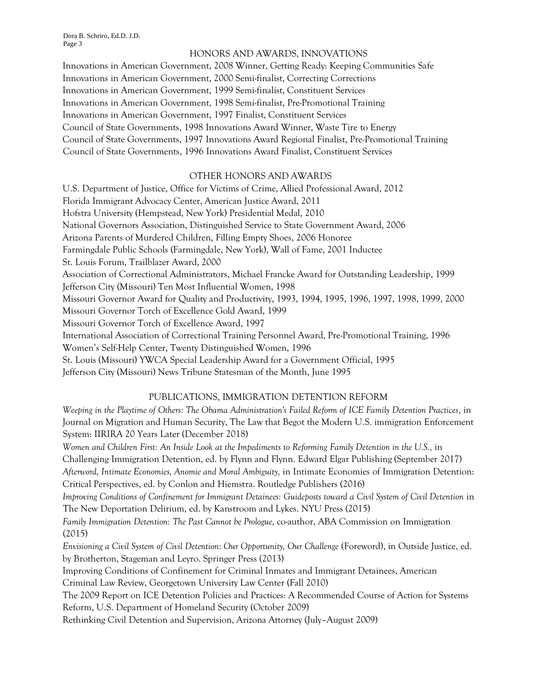Dora B. Schriro, Ed.D. J.D. Page 3

#### HONORS AND AWARDS, INNOVATIONS

Innovations in American Government, 2008 Winner, Getting Ready: Keeping Communities Safe Innovations in American Government, 2000 Semi-finalist, Correcting Corrections Innovations in American Government, 1999 Semi-finalist, Constituent Services Innovations in American Government, 1998 Semi-finalist, Pre-Promotional Training Innovations in American Government, 1997 Finalist, Constituent Services Council of State Governments, 1998 Innovations Award Winner, Waste Tire to Energy Council of State Governments, 1997 Innovations Award Regional Finalist, Pre-Promotional Training Council of State Governments, 1996 Innovations Award Finalist, Constituent Services

## OTHER HONORS AND AWARDS

U.S. Department of Justice, Office for Victims of Crime, Allied Professional Award, 2012 Florida Immigrant Advocacy Center, American Justice Award, 2011 Hofstra University (Hempstead, New York) Presidential Medal, 2010 National Governors Association, Distinguished Service to State Government Award, 2006 Arizona Parents of Murdered Children, Filling Empty Shoes, 2006 Honoree Farmingdale Public Schools (Farmingdale, New York), Wall of Fame, 2001 Inductee St. Louis Forum, Trailblazer Award, 2000 Association of Correctional Administrators, Michael Francke Award for Outstanding Leadership, 1999 Jefferson City (Missouri) Ten Most Influential Women, 1998 Missouri Governor Award for Quality and Productivity, 1993, 1994, 1995, 1996, 1997, 1998, 1999, 2000 Missouri Governor Torch of Excellence Gold Award, 1999 Missouri Governor Torch of Excellence Award, 1997 International Association of Correctional Training Personnel Award, Pre-Promotional Training, 1996 Women's Self-Help Center, Twenty Distinguished Women, 1996 St. Louis (Missouri) YWCA Special Leadership Award for a Government Official, 1995 Jefferson City (Missouri) News Tribune Statesman of the Month, June 1995

#### PUBLICATIONS, IMMIGRATION DETENTION REFORM

*Weeping in the Playtime of Others: The Obama Administration's Failed Reform of ICE Family Detention Practices,* in Journal on Migration and Human Security, The Law that Begot the Modern U.S. immigration Enforcement System: IIRIRA 20 Years Later (December 2018)

*Women and Children First: An Inside Look at the Impediments to Reforming Family Detention in the U.S.,* in Challenging Immigration Detention, ed. by Flynn and Flynn. Edward Elgar Publishing (September 2017) *Afterword, Intimate Economies, Anomie and Moral Ambiguity,* in Intimate Economies of Immigration Detention: Critical Perspectives, ed. by Conlon and Hiemstra. Routledge Publishers (2016)

*Improving Conditions of Confinement for Immigrant Detainees: Guideposts toward a Civil System of Civil Detention in* The New Deportation Delirium, ed. by Kanstroom and Lykes. NYU Press (2015)

*Family Immigration Detention: The Past Cannot be Prologue,* co-author, ABA Commission on Immigration (2015)

*Envisioning a Civil System of Civil Detention: Our Opportunity, Our Challenge* (Foreword), in Outside Justice, ed. by Brotherton, Stageman and Leyro. Springer Press (2013)

Improving Conditions of Confinement for Criminal Inmates and Immigrant Detainees, American Criminal Law Review, Georgetown University Law Center (Fall 2010)

The 2009 Report on ICE Detention Policies and Practices: A Recommended Course of Action for Systems Reform, U.S. Department of Homeland Security (October 2009)

Rethinking Civil Detention and Supervision, Arizona Attorney (July–August 2009)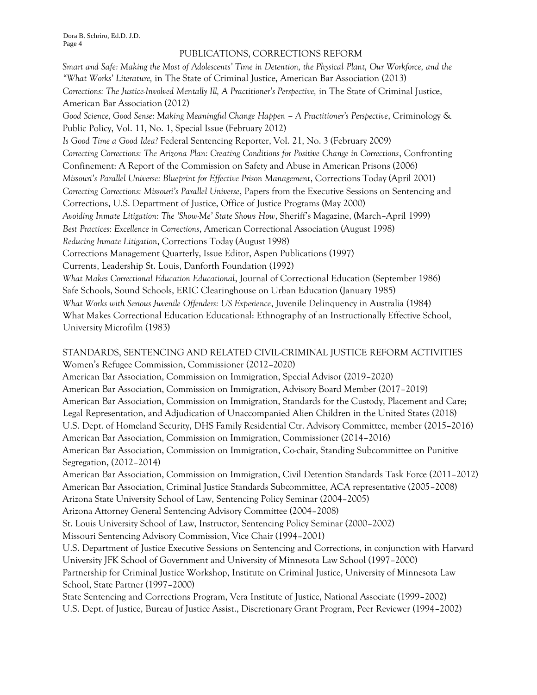#### PUBLICATIONS, CORRECTIONS REFORM

*Smart and Safe: Making the Most of Adolescents' Time in Detention, the Physical Plant, Our Workforce, and the "What Works' Literature,* in The State of Criminal Justice, American Bar Association (2013) *Corrections: The Justice-Involved Mentally Ill, A Practitioner's Perspective,* in The State of Criminal Justice, American Bar Association (2012) *Good Science, Good Sense: Making Meaningful Change Happen – A Practitioner's Perspective*, Criminology & Public Policy, Vol. 11, No. 1, Special Issue (February 2012) *Is Good Time a Good Idea?* Federal Sentencing Reporter, Vol. 21, No. 3 (February 2009) *Correcting Corrections: The Arizona Plan: Creating Conditions for Positive Change in Corrections*, Confronting Confinement: A Report of the Commission on Safety and Abuse in American Prisons (2006) *Missouri's Parallel Universe: Blueprint for Effective Prison Management*, Corrections Today (April 2001) *Correcting Corrections: Missouri's Parallel Universe*, Papers from the Executive Sessions on Sentencing and Corrections, U.S. Department of Justice, Office of Justice Programs (May 2000) *Avoiding Inmate Litigation: The 'Show-Me' State Shows How*, Sheriff's Magazine, (March–April 1999) *Best Practices: Excellence in Corrections*, American Correctional Association (August 1998) *Reducing Inmate Litigation*, Corrections Today (August 1998) Corrections Management Quarterly, Issue Editor, Aspen Publications (1997) Currents, Leadership St. Louis, Danforth Foundation (1992) *What Makes Correctional Education Educational*, Journal of Correctional Education (September 1986) Safe Schools, Sound Schools, ERIC Clearinghouse on Urban Education (January 1985) *What Works with Serious Juvenile Offenders: US Experience*, Juvenile Delinquency in Australia (1984) What Makes Correctional Education Educational: Ethnography of an Instructionally Effective School, University Microfilm (1983)

#### STANDARDS, SENTENCING AND RELATED CIVIL-CRIMINAL JUSTICE REFORM ACTIVITIES Women's Refugee Commission, Commissioner (2012–2020)

American Bar Association, Commission on Immigration, Special Advisor (2019–2020) American Bar Association, Commission on Immigration, Advisory Board Member (2017–2019) American Bar Association, Commission on Immigration, Standards for the Custody, Placement and Care; Legal Representation, and Adjudication of Unaccompanied Alien Children in the United States (2018) U.S. Dept. of Homeland Security, DHS Family Residential Ctr. Advisory Committee, member (2015–2016) American Bar Association, Commission on Immigration, Commissioner (2014–2016) American Bar Association, Commission on Immigration, Co-chair, Standing Subcommittee on Punitive Segregation, (2012–2014)

American Bar Association, Commission on Immigration, Civil Detention Standards Task Force (2011–2012) American Bar Association, Criminal Justice Standards Subcommittee, ACA representative (2005–2008) Arizona State University School of Law, Sentencing Policy Seminar (2004–2005)

Arizona Attorney General Sentencing Advisory Committee (2004–2008)

St. Louis University School of Law, Instructor, Sentencing Policy Seminar (2000–2002)

Missouri Sentencing Advisory Commission, Vice Chair (1994–2001)

U.S. Department of Justice Executive Sessions on Sentencing and Corrections, in conjunction with Harvard University JFK School of Government and University of Minnesota Law School (1997–2000) Partnership for Criminal Justice Workshop, Institute on Criminal Justice, University of Minnesota Law School, State Partner (1997–2000)

State Sentencing and Corrections Program, Vera Institute of Justice, National Associate (1999–2002) U.S. Dept. of Justice, Bureau of Justice Assist., Discretionary Grant Program, Peer Reviewer (1994–2002)